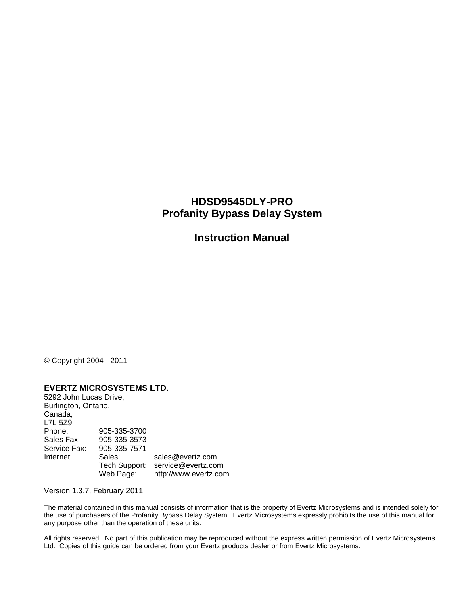### **HDSD9545DLY-PRO Profanity Bypass Delay System**

**Instruction Manual** 

© Copyright 2004 - 2011

#### **EVERTZ MICROSYSTEMS LTD.**

5292 John Lucas Drive, Burlington, Ontario, Canada, L7L 5Z9 Phone: 905-335-3700 Sales Fax: 905-335-3573 Service Fax: 905-335-7571 Internet: Sales: sales@evertz.com Tech Support: service@evertz.com Web Page: http://www.evertz.com

Version 1.3.7, February 2011

The material contained in this manual consists of information that is the property of Evertz Microsystems and is intended solely for the use of purchasers of the Profanity Bypass Delay System. Evertz Microsystems expressly prohibits the use of this manual for any purpose other than the operation of these units.

All rights reserved. No part of this publication may be reproduced without the express written permission of Evertz Microsystems Ltd. Copies of this guide can be ordered from your Evertz products dealer or from Evertz Microsystems.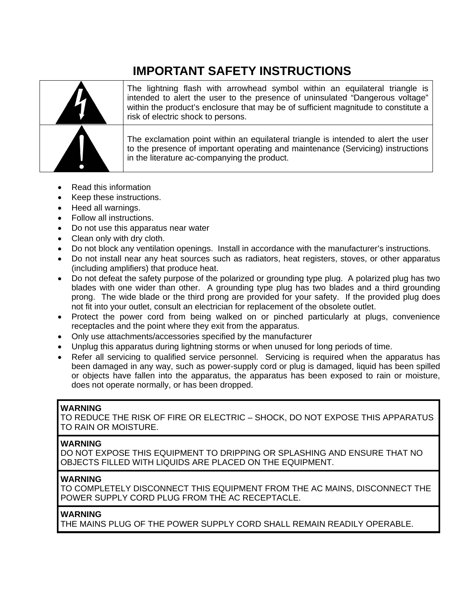## <span id="page-2-0"></span>**IMPORTANT SAFETY INSTRUCTIONS**

| The lightning flash with arrowhead symbol within an equilateral triangle is<br>intended to alert the user to the presence of uninsulated "Dangerous voltage"<br>within the product's enclosure that may be of sufficient magnitude to constitute a<br>risk of electric shock to persons. |
|------------------------------------------------------------------------------------------------------------------------------------------------------------------------------------------------------------------------------------------------------------------------------------------|
| The exclamation point within an equilateral triangle is intended to alert the user<br>to the presence of important operating and maintenance (Servicing) instructions<br>in the literature ac-companying the product.                                                                    |

- Read this information
- Keep these instructions.
- Heed all warnings.
- Follow all instructions.
- Do not use this apparatus near water
- Clean only with dry cloth.
- Do not block any ventilation openings. Install in accordance with the manufacturer's instructions.
- Do not install near any heat sources such as radiators, heat registers, stoves, or other apparatus (including amplifiers) that produce heat.
- Do not defeat the safety purpose of the polarized or grounding type plug. A polarized plug has two blades with one wider than other. A grounding type plug has two blades and a third grounding prong. The wide blade or the third prong are provided for your safety. If the provided plug does not fit into your outlet, consult an electrician for replacement of the obsolete outlet.
- Protect the power cord from being walked on or pinched particularly at plugs, convenience receptacles and the point where they exit from the apparatus.
- Only use attachments/accessories specified by the manufacturer
- Unplug this apparatus during lightning storms or when unused for long periods of time.
- Refer all servicing to qualified service personnel. Servicing is required when the apparatus has been damaged in any way, such as power-supply cord or plug is damaged, liquid has been spilled or objects have fallen into the apparatus, the apparatus has been exposed to rain or moisture, does not operate normally, or has been dropped.

#### **WARNING**

TO REDUCE THE RISK OF FIRE OR ELECTRIC – SHOCK, DO NOT EXPOSE THIS APPARATUS TO RAIN OR MOISTURE.

#### **WARNING**

DO NOT EXPOSE THIS EQUIPMENT TO DRIPPING OR SPLASHING AND ENSURE THAT NO OBJECTS FILLED WITH LIQUIDS ARE PLACED ON THE EQUIPMENT.

#### **WARNING**

TO COMPLETELY DISCONNECT THIS EQUIPMENT FROM THE AC MAINS, DISCONNECT THE POWER SUPPLY CORD PLUG FROM THE AC RECEPTACLE.

#### **WARNING**

THE MAINS PLUG OF THE POWER SUPPLY CORD SHALL REMAIN READILY OPERABLE.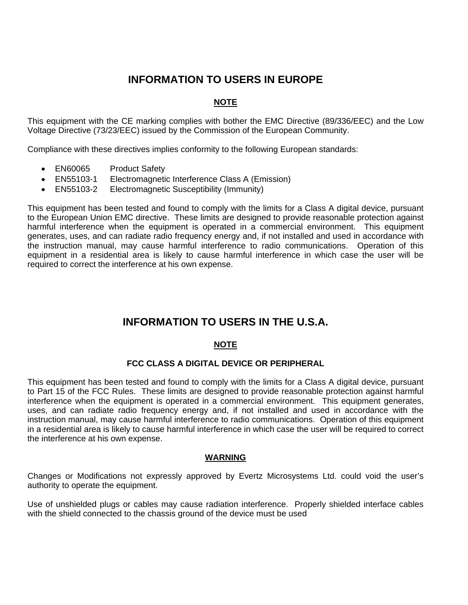### **INFORMATION TO USERS IN EUROPE**

#### **NOTE**

This equipment with the CE marking complies with bother the EMC Directive (89/336/EEC) and the Low Voltage Directive (73/23/EEC) issued by the Commission of the European Community.

Compliance with these directives implies conformity to the following European standards:

- EN60065 Product Safety
- EN55103-1 Electromagnetic Interference Class A (Emission)
- EN55103-2 Electromagnetic Susceptibility (Immunity)

This equipment has been tested and found to comply with the limits for a Class A digital device, pursuant to the European Union EMC directive. These limits are designed to provide reasonable protection against harmful interference when the equipment is operated in a commercial environment. This equipment generates, uses, and can radiate radio frequency energy and, if not installed and used in accordance with the instruction manual, may cause harmful interference to radio communications. Operation of this equipment in a residential area is likely to cause harmful interference in which case the user will be required to correct the interference at his own expense.

### **INFORMATION TO USERS IN THE U.S.A.**

#### **NOTE**

#### **FCC CLASS A DIGITAL DEVICE OR PERIPHERAL**

This equipment has been tested and found to comply with the limits for a Class A digital device, pursuant to Part 15 of the FCC Rules. These limits are designed to provide reasonable protection against harmful interference when the equipment is operated in a commercial environment. This equipment generates, uses, and can radiate radio frequency energy and, if not installed and used in accordance with the instruction manual, may cause harmful interference to radio communications. Operation of this equipment in a residential area is likely to cause harmful interference in which case the user will be required to correct the interference at his own expense.

#### **WARNING**

Changes or Modifications not expressly approved by Evertz Microsystems Ltd. could void the user's authority to operate the equipment.

Use of unshielded plugs or cables may cause radiation interference. Properly shielded interface cables with the shield connected to the chassis ground of the device must be used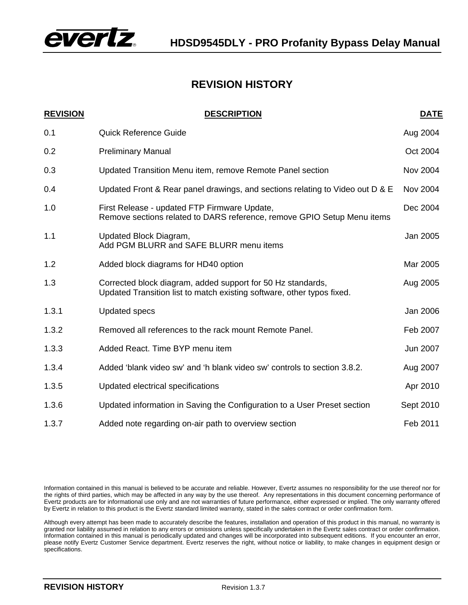

### **REVISION HISTORY**

| <b>REVISION</b> | <b>DESCRIPTION</b>                                                                                                                    | <b>DATE</b>     |
|-----------------|---------------------------------------------------------------------------------------------------------------------------------------|-----------------|
| 0.1             | <b>Quick Reference Guide</b>                                                                                                          | Aug 2004        |
| 0.2             | <b>Preliminary Manual</b>                                                                                                             | Oct 2004        |
| 0.3             | Updated Transition Menu item, remove Remote Panel section                                                                             | <b>Nov 2004</b> |
| 0.4             | Updated Front & Rear panel drawings, and sections relating to Video out D & E                                                         | Nov 2004        |
| 1.0             | First Release - updated FTP Firmware Update,<br>Remove sections related to DARS reference, remove GPIO Setup Menu items               | Dec 2004        |
| 1.1             | <b>Updated Block Diagram,</b><br>Add PGM BLURR and SAFE BLURR menu items                                                              | Jan 2005        |
| 1.2             | Added block diagrams for HD40 option                                                                                                  | Mar 2005        |
| 1.3             | Corrected block diagram, added support for 50 Hz standards,<br>Updated Transition list to match existing software, other typos fixed. | Aug 2005        |
| 1.3.1           | <b>Updated specs</b>                                                                                                                  | Jan 2006        |
| 1.3.2           | Removed all references to the rack mount Remote Panel.                                                                                | Feb 2007        |
| 1.3.3           | Added React. Time BYP menu item                                                                                                       | Jun 2007        |
| 1.3.4           | Added 'blank video sw' and 'h blank video sw' controls to section 3.8.2.                                                              | Aug 2007        |
| 1.3.5           | Updated electrical specifications                                                                                                     | Apr 2010        |
| 1.3.6           | Updated information in Saving the Configuration to a User Preset section                                                              | Sept 2010       |
| 1.3.7           | Added note regarding on-air path to overview section                                                                                  | Feb 2011        |

Information contained in this manual is believed to be accurate and reliable. However, Evertz assumes no responsibility for the use thereof nor for the rights of third parties, which may be affected in any way by the use thereof. Any representations in this document concerning performance of Evertz products are for informational use only and are not warranties of future performance, either expressed or implied. The only warranty offered by Evertz in relation to this product is the Evertz standard limited warranty, stated in the sales contract or order confirmation form.

Although every attempt has been made to accurately describe the features, installation and operation of this product in this manual, no warranty is granted nor liability assumed in relation to any errors or omissions unless specifically undertaken in the Evertz sales contract or order confirmation. Information contained in this manual is periodically updated and changes will be incorporated into subsequent editions. If you encounter an error, please notify Evertz Customer Service department. Evertz reserves the right, without notice or liability, to make changes in equipment design or specifications.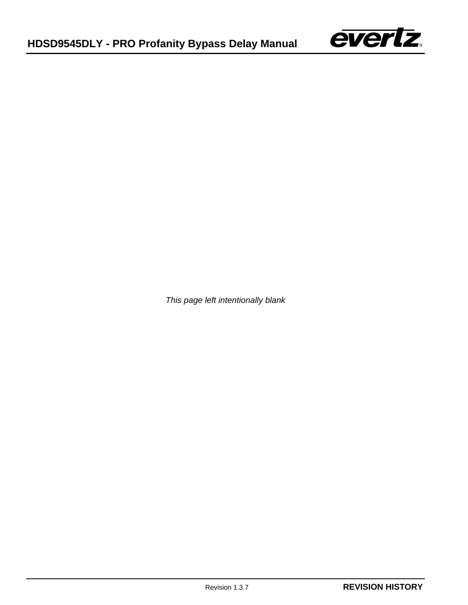

*This page left intentionally blank*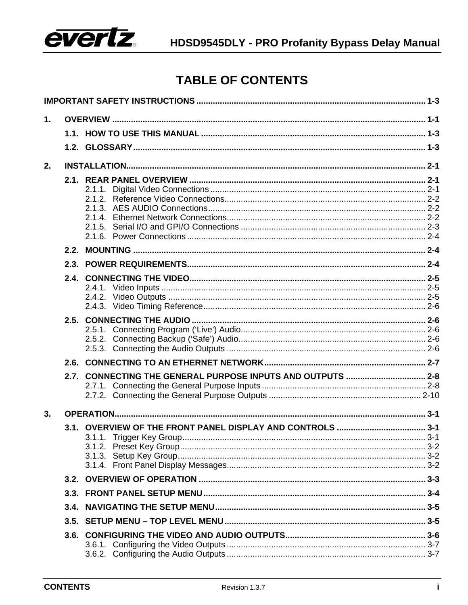

## **TABLE OF CONTENTS**

| $\mathbf{1}$ . |                                                             |  |
|----------------|-------------------------------------------------------------|--|
|                |                                                             |  |
|                |                                                             |  |
| 2.             |                                                             |  |
|                |                                                             |  |
|                |                                                             |  |
|                |                                                             |  |
|                |                                                             |  |
|                |                                                             |  |
|                |                                                             |  |
|                |                                                             |  |
|                |                                                             |  |
|                |                                                             |  |
|                |                                                             |  |
|                |                                                             |  |
|                |                                                             |  |
|                |                                                             |  |
|                |                                                             |  |
|                |                                                             |  |
|                |                                                             |  |
|                |                                                             |  |
|                | 2.7. CONNECTING THE GENERAL PURPOSE INPUTS AND OUTPUTS  2-8 |  |
|                |                                                             |  |
|                |                                                             |  |
| 3.             |                                                             |  |
|                |                                                             |  |
|                |                                                             |  |
|                |                                                             |  |
|                |                                                             |  |
|                |                                                             |  |
|                |                                                             |  |
|                |                                                             |  |
|                |                                                             |  |
|                |                                                             |  |
|                |                                                             |  |
|                |                                                             |  |
|                |                                                             |  |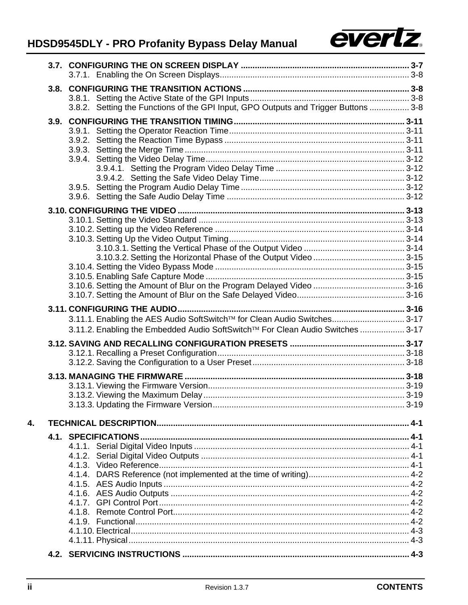## HDSD9545DLY - PRO Profanity Bypass Delay Manual



| 3.8.2. Setting the Functions of the GPI Input, GPO Outputs and Trigger Buttons  3-8                                                                        |  |
|------------------------------------------------------------------------------------------------------------------------------------------------------------|--|
|                                                                                                                                                            |  |
|                                                                                                                                                            |  |
| 3.11.1. Enabling the AES Audio SoftSwitch™ for Clean Audio Switches 3-17<br>3.11.2. Enabling the Embedded Audio SoftSwitch™ For Clean Audio Switches  3-17 |  |
|                                                                                                                                                            |  |
|                                                                                                                                                            |  |
|                                                                                                                                                            |  |
|                                                                                                                                                            |  |
|                                                                                                                                                            |  |

4.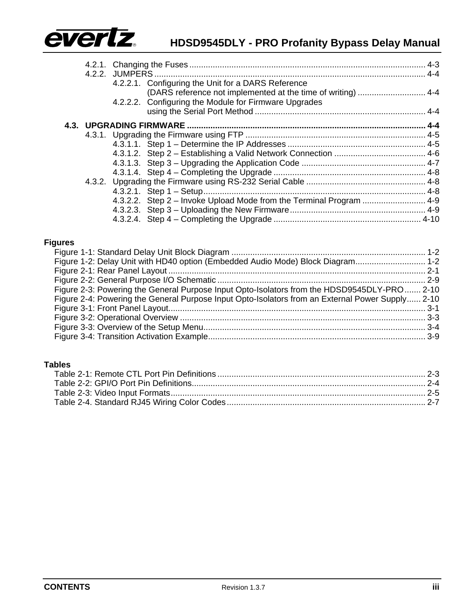

# **HDSD9545DLY - PRO Profanity Bypass Delay Manual**

|  | 4.2.2.1. Configuring the Unit for a DARS Reference<br>(DARS reference not implemented at the time of writing)  4-4 |  |
|--|--------------------------------------------------------------------------------------------------------------------|--|
|  | 4.2.2.2. Configuring the Module for Firmware Upgrades                                                              |  |
|  |                                                                                                                    |  |
|  |                                                                                                                    |  |
|  |                                                                                                                    |  |
|  |                                                                                                                    |  |
|  |                                                                                                                    |  |
|  |                                                                                                                    |  |
|  |                                                                                                                    |  |
|  |                                                                                                                    |  |
|  | 4.3.2.2. Step 2 - Invoke Upload Mode from the Terminal Program  4-9                                                |  |
|  |                                                                                                                    |  |
|  |                                                                                                                    |  |

#### **Figures**

| Figure 1-2: Delay Unit with HD40 option (Embedded Audio Mode) Block Diagram 1-2                  |  |
|--------------------------------------------------------------------------------------------------|--|
|                                                                                                  |  |
|                                                                                                  |  |
| Figure 2-3: Powering the General Purpose Input Opto-Isolators from the HDSD9545DLY-PRO 2-10      |  |
| Figure 2-4: Powering the General Purpose Input Opto-Isolators from an External Power Supply 2-10 |  |
|                                                                                                  |  |
|                                                                                                  |  |
|                                                                                                  |  |
|                                                                                                  |  |

#### **Tables**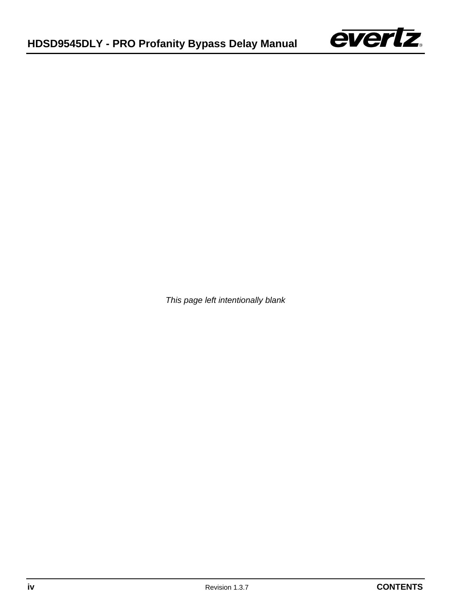

*This page left intentionally blank*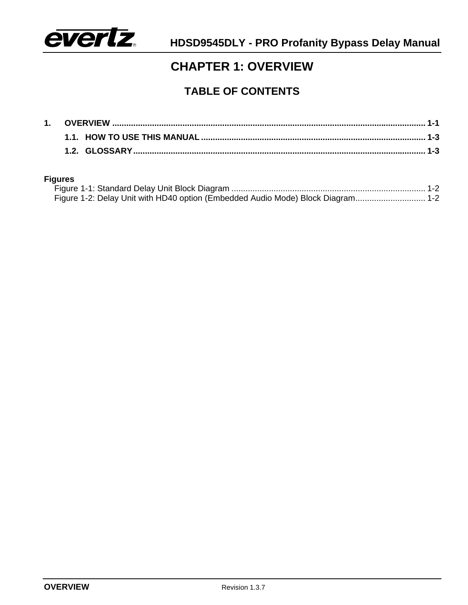

## **CHAPTER 1: OVERVIEW**

## **TABLE OF CONTENTS**

#### **Figures**

| Figure 1-2: Delay Unit with HD40 option (Embedded Audio Mode) Block Diagram 1-2 |  |
|---------------------------------------------------------------------------------|--|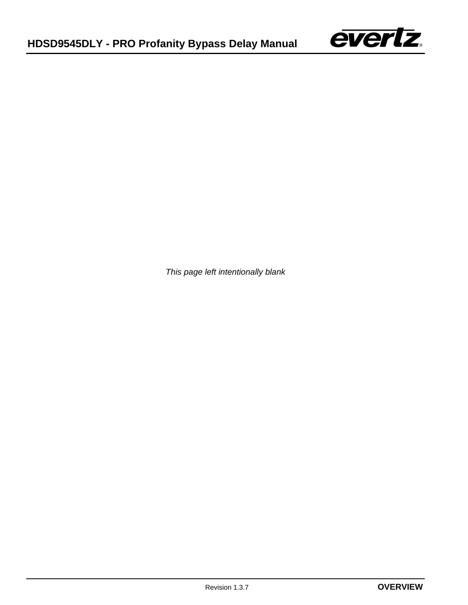

*This page left intentionally blank*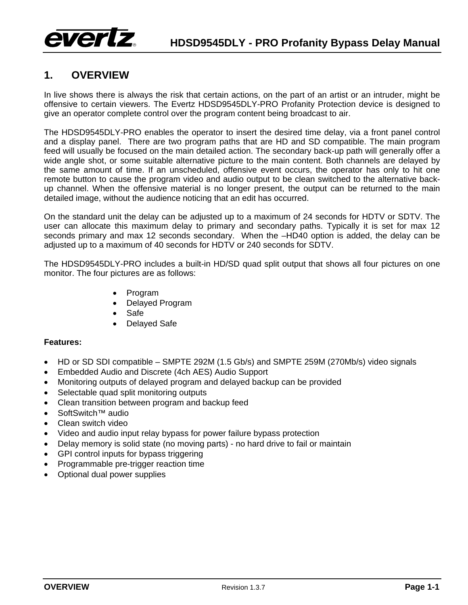

### <span id="page-12-0"></span>**1. OVERVIEW**

In live shows there is always the risk that certain actions, on the part of an artist or an intruder, might be offensive to certain viewers. The Evertz HDSD9545DLY-PRO Profanity Protection device is designed to give an operator complete control over the program content being broadcast to air.

The HDSD9545DLY-PRO enables the operator to insert the desired time delay, via a front panel control and a display panel. There are two program paths that are HD and SD compatible. The main program feed will usually be focused on the main detailed action. The secondary back-up path will generally offer a wide angle shot, or some suitable alternative picture to the main content. Both channels are delayed by the same amount of time. If an unscheduled, offensive event occurs, the operator has only to hit one remote button to cause the program video and audio output to be clean switched to the alternative backup channel. When the offensive material is no longer present, the output can be returned to the main detailed image, without the audience noticing that an edit has occurred.

On the standard unit the delay can be adjusted up to a maximum of 24 seconds for HDTV or SDTV. The user can allocate this maximum delay to primary and secondary paths. Typically it is set for max 12 seconds primary and max 12 seconds secondary. When the -HD40 option is added, the delay can be adjusted up to a maximum of 40 seconds for HDTV or 240 seconds for SDTV.

The HDSD9545DLY-PRO includes a built-in HD/SD quad split output that shows all four pictures on one monitor. The four pictures are as follows:

- Program
- Delayed Program
- Safe
- Delayed Safe

#### **Features:**

- HD or SD SDI compatible SMPTE 292M (1.5 Gb/s) and SMPTE 259M (270Mb/s) video signals
- Embedded Audio and Discrete (4ch AES) Audio Support
- Monitoring outputs of delayed program and delayed backup can be provided
- Selectable quad split monitoring outputs
- Clean transition between program and backup feed
- SoftSwitch<sup>™</sup> audio
- Clean switch video
- Video and audio input relay bypass for power failure bypass protection
- Delay memory is solid state (no moving parts) no hard drive to fail or maintain
- GPI control inputs for bypass triggering
- Programmable pre-trigger reaction time
- Optional dual power supplies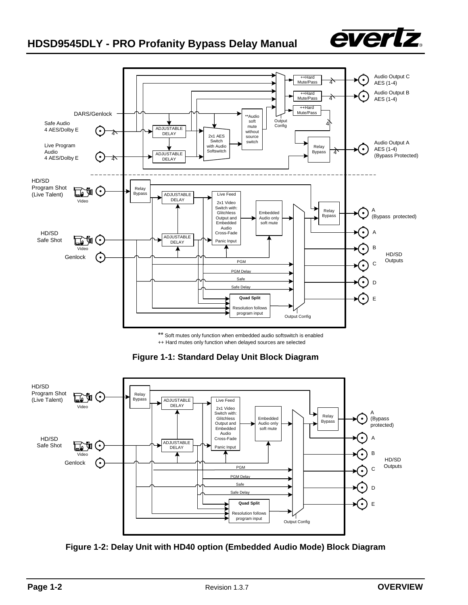



\*\* Soft mutes only function when embedded audio softswitch is enabled ++ Hard mutes only function when delayed sources are selected

<span id="page-13-0"></span>



<span id="page-13-1"></span>**Figure 1-2: Delay Unit with HD40 option (Embedded Audio Mode) Block Diagram**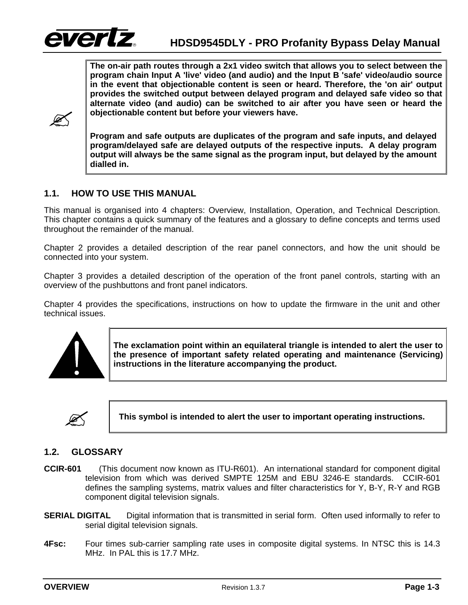

**The on-air path routes through a 2x1 video switch that allows you to select between the program chain Input A 'live' video (and audio) and the Input B 'safe' video/audio source in the event that objectionable content is seen or heard. Therefore, the 'on air' output provides the switched output between delayed program and delayed safe video so that alternate video (and audio) can be switched to air after you have seen or heard the objectionable content but before your viewers have.** 



**Program and safe outputs are duplicates of the program and safe inputs, and delayed program/delayed safe are delayed outputs of the respective inputs. A delay program output will always be the same signal as the program input, but delayed by the amount dialled in.** 

#### <span id="page-14-0"></span>**1.1. HOW TO USE THIS MANUAL**

This manual is organised into 4 chapters: Overview, Installation, Operation, and Technical Description. This chapter contains a quick summary of the features and a glossary to define concepts and terms used throughout the remainder of the manual.

Chapter 2 provides a detailed description of the rear panel connectors, and how the unit should be connected into your system.

Chapter 3 provides a detailed description of the operation of the front panel controls, starting with an overview of the pushbuttons and front panel indicators.

Chapter 4 provides the specifications, instructions on how to update the firmware in the unit and other technical issues.



**The exclamation point within an equilateral triangle is intended to alert the user to the presence of important safety related operating and maintenance (Servicing) instructions in the literature accompanying the product.** 



" **This symbol is intended to alert the user to important operating instructions.** 

#### <span id="page-14-1"></span>**1.2. GLOSSARY**

- **CCIR-601** (This document now known as ITU-R601). An international standard for component digital television from which was derived SMPTE 125M and EBU 3246-E standards. CCIR-601 defines the sampling systems, matrix values and filter characteristics for Y, B-Y, R-Y and RGB component digital television signals.
- **SERIAL DIGITAL** Digital information that is transmitted in serial form. Often used informally to refer to serial digital television signals.
- **4Fsc:** Four times sub-carrier sampling rate uses in composite digital systems. In NTSC this is 14.3 MHz. In PAL this is 17.7 MHz.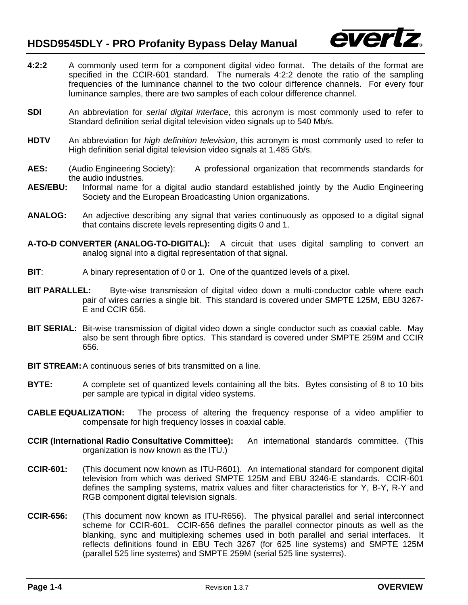

- **4:2:2** A commonly used term for a component digital video format. The details of the format are specified in the CCIR-601 standard. The numerals 4:2:2 denote the ratio of the sampling frequencies of the luminance channel to the two colour difference channels. For every four luminance samples, there are two samples of each colour difference channel.
- **SDI** An abbreviation for *serial digital interface*, this acronym is most commonly used to refer to Standard definition serial digital television video signals up to 540 Mb/s.
- **HDTV** An abbreviation for *high definition television*, this acronym is most commonly used to refer to High definition serial digital television video signals at 1.485 Gb/s.
- **AES:** (Audio Engineering Society): A professional organization that recommends standards for the audio industries.
- **AES/EBU:** Informal name for a digital audio standard established jointly by the Audio Engineering Society and the European Broadcasting Union organizations.
- **ANALOG:** An adjective describing any signal that varies continuously as opposed to a digital signal that contains discrete levels representing digits 0 and 1.
- **A-TO-D CONVERTER (ANALOG-TO-DIGITAL):** A circuit that uses digital sampling to convert an analog signal into a digital representation of that signal.
- **BIT:** A binary representation of 0 or 1. One of the quantized levels of a pixel.
- **BIT PARALLEL:** Byte-wise transmission of digital video down a multi-conductor cable where each pair of wires carries a single bit. This standard is covered under SMPTE 125M, EBU 3267- E and CCIR 656.
- **BIT SERIAL:** Bit-wise transmission of digital video down a single conductor such as coaxial cable. May also be sent through fibre optics. This standard is covered under SMPTE 259M and CCIR 656.
- **BIT STREAM:** A continuous series of bits transmitted on a line.
- **BYTE:** A complete set of quantized levels containing all the bits. Bytes consisting of 8 to 10 bits per sample are typical in digital video systems.
- **CABLE EQUALIZATION:** The process of altering the frequency response of a video amplifier to compensate for high frequency losses in coaxial cable.
- **CCIR (International Radio Consultative Committee):** An international standards committee. (This organization is now known as the ITU.)
- **CCIR-601:** (This document now known as ITU-R601). An international standard for component digital television from which was derived SMPTE 125M and EBU 3246-E standards. CCIR-601 defines the sampling systems, matrix values and filter characteristics for Y, B-Y, R-Y and RGB component digital television signals.
- **CCIR-656:** (This document now known as ITU-R656). The physical parallel and serial interconnect scheme for CCIR-601. CCIR-656 defines the parallel connector pinouts as well as the blanking, sync and multiplexing schemes used in both parallel and serial interfaces. It reflects definitions found in EBU Tech 3267 (for 625 line systems) and SMPTE 125M (parallel 525 line systems) and SMPTE 259M (serial 525 line systems).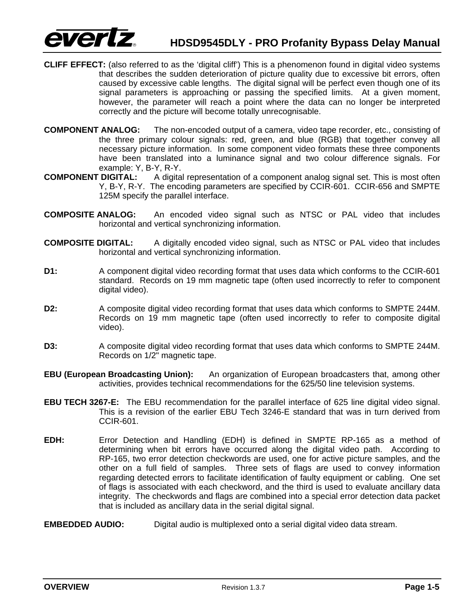

- **CLIFF EFFECT:** (also referred to as the 'digital cliff') This is a phenomenon found in digital video systems that describes the sudden deterioration of picture quality due to excessive bit errors, often caused by excessive cable lengths. The digital signal will be perfect even though one of its signal parameters is approaching or passing the specified limits. At a given moment, however, the parameter will reach a point where the data can no longer be interpreted correctly and the picture will become totally unrecognisable.
- **COMPONENT ANALOG:** The non-encoded output of a camera, video tape recorder, etc., consisting of the three primary colour signals: red, green, and blue (RGB) that together convey all necessary picture information. In some component video formats these three components have been translated into a luminance signal and two colour difference signals. For example: Y, B-Y, R-Y.
- **COMPONENT DIGITAL:** A digital representation of a component analog signal set. This is most often Y, B-Y, R-Y. The encoding parameters are specified by CCIR-601. CCIR-656 and SMPTE 125M specify the parallel interface.
- **COMPOSITE ANALOG:** An encoded video signal such as NTSC or PAL video that includes horizontal and vertical synchronizing information.
- **COMPOSITE DIGITAL:** A digitally encoded video signal, such as NTSC or PAL video that includes horizontal and vertical synchronizing information.
- **D1:** A component digital video recording format that uses data which conforms to the CCIR-601 standard. Records on 19 mm magnetic tape (often used incorrectly to refer to component digital video).
- **D2:** A composite digital video recording format that uses data which conforms to SMPTE 244M. Records on 19 mm magnetic tape (often used incorrectly to refer to composite digital video).
- **D3:** A composite digital video recording format that uses data which conforms to SMPTE 244M. Records on 1/2" magnetic tape.
- **EBU (European Broadcasting Union):** An organization of European broadcasters that, among other activities, provides technical recommendations for the 625/50 line television systems.
- **EBU TECH 3267-E:** The EBU recommendation for the parallel interface of 625 line digital video signal. This is a revision of the earlier EBU Tech 3246-E standard that was in turn derived from CCIR-601.
- **EDH:** Error Detection and Handling (EDH) is defined in SMPTE RP-165 as a method of determining when bit errors have occurred along the digital video path. According to RP-165, two error detection checkwords are used, one for active picture samples, and the other on a full field of samples. Three sets of flags are used to convey information regarding detected errors to facilitate identification of faulty equipment or cabling. One set of flags is associated with each checkword, and the third is used to evaluate ancillary data integrity. The checkwords and flags are combined into a special error detection data packet that is included as ancillary data in the serial digital signal.

**EMBEDDED AUDIO:** Digital audio is multiplexed onto a serial digital video data stream.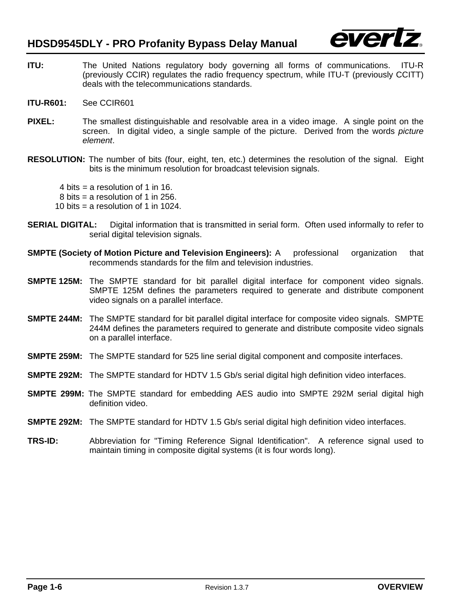

- **ITU:** The United Nations regulatory body governing all forms of communications. ITU-R (previously CCIR) regulates the radio frequency spectrum, while ITU-T (previously CCITT) deals with the telecommunications standards.
- **ITU-R601:** See CCIR601
- **PIXEL:** The smallest distinguishable and resolvable area in a video image. A single point on the screen. In digital video, a single sample of the picture. Derived from the words *picture element*.
- **RESOLUTION:** The number of bits (four, eight, ten, etc.) determines the resolution of the signal. Eight bits is the minimum resolution for broadcast television signals.

4 bits = a resolution of 1 in 16.

8 bits  $=$  a resolution of 1 in 256.

10 bits  $=$  a resolution of 1 in 1024.

- **SERIAL DIGITAL:** Digital information that is transmitted in serial form. Often used informally to refer to serial digital television signals.
- **SMPTE (Society of Motion Picture and Television Engineers):** A professional organization that recommends standards for the film and television industries.
- **SMPTE 125M:** The SMPTE standard for bit parallel digital interface for component video signals. SMPTE 125M defines the parameters required to generate and distribute component video signals on a parallel interface.
- **SMPTE 244M:** The SMPTE standard for bit parallel digital interface for composite video signals. SMPTE 244M defines the parameters required to generate and distribute composite video signals on a parallel interface.
- **SMPTE 259M:** The SMPTE standard for 525 line serial digital component and composite interfaces.
- **SMPTE 292M:** The SMPTE standard for HDTV 1.5 Gb/s serial digital high definition video interfaces.
- **SMPTE 299M:** The SMPTE standard for embedding AES audio into SMPTE 292M serial digital high definition video.
- **SMPTE 292M:** The SMPTE standard for HDTV 1.5 Gb/s serial digital high definition video interfaces.
- **TRS-ID:** Abbreviation for "Timing Reference Signal Identification". A reference signal used to maintain timing in composite digital systems (it is four words long).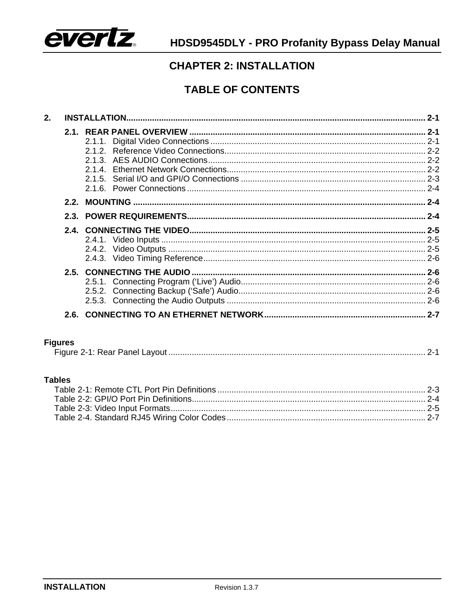

## **CHAPTER 2: INSTALLATION**

## **TABLE OF CONTENTS**

| 2. |  |  |
|----|--|--|
|    |  |  |
|    |  |  |
|    |  |  |
|    |  |  |
|    |  |  |
|    |  |  |
|    |  |  |

### **Figures**

#### **Tables**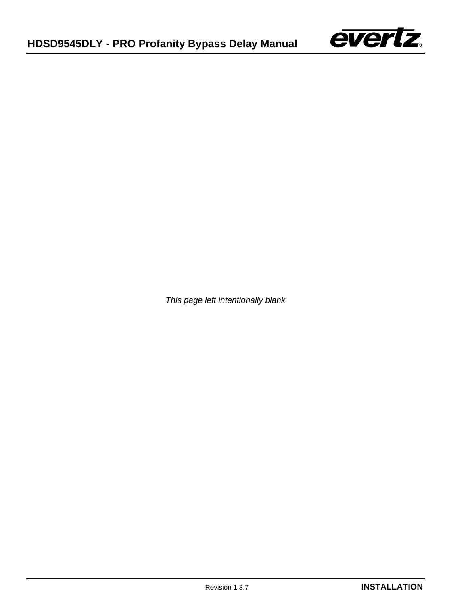

*This page left intentionally blank*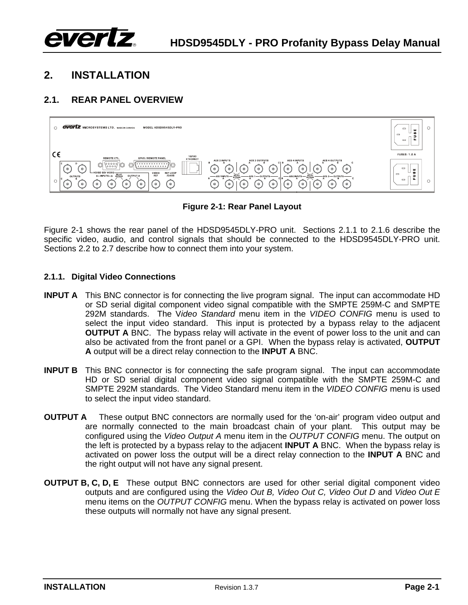

### <span id="page-20-0"></span>**2. INSTALLATION**

#### <span id="page-20-1"></span>**2.1. REAR PANEL OVERVIEW**



<span id="page-20-3"></span>**Figure 2-1: Rear Panel Layout** 

[Figure 2-1](#page-20-3) shows the rear panel of the HDSD9545DLY-PRO unit. Sections [2.1.1](#page-20-2) to [2.1.6](#page-23-0) describe the specific video, audio, and control signals that should be connected to the HDSD9545DLY-PRO unit. Sections [2.2](#page-23-1) to [2.7](#page-27-0) describe how to connect them into your system.

#### <span id="page-20-2"></span>**2.1.1. Digital Video Connections**

- **INPUT A** This BNC connector is for connecting the live program signal. The input can accommodate HD or SD serial digital component video signal compatible with the SMPTE 259M-C and SMPTE 292M standards. The V*ideo Standard* menu item in the *VIDEO CONFIG* menu is used to select the input video standard. This input is protected by a bypass relay to the adjacent **OUTPUT A** BNC. The bypass relay will activate in the event of power loss to the unit and can also be activated from the front panel or a GPI. When the bypass relay is activated, **OUTPUT A** output will be a direct relay connection to the **INPUT A** BNC.
- **INPUT B** This BNC connector is for connecting the safe program signal. The input can accommodate HD or SD serial digital component video signal compatible with the SMPTE 259M-C and SMPTE 292M standards. The Video Standard menu item in the *VIDEO CONFIG* menu is used to select the input video standard.
- **OUTPUT A** These output BNC connectors are normally used for the 'on-air' program video output and are normally connected to the main broadcast chain of your plant. This output may be configured using the *Video Output A* menu item in the *OUTPUT CONFIG* menu. The output on the left is protected by a bypass relay to the adjacent **INPUT A** BNC. When the bypass relay is activated on power loss the output will be a direct relay connection to the **INPUT A** BNC and the right output will not have any signal present.
- **OUTPUT B, C, D, E** These output BNC connectors are used for other serial digital component video outputs and are configured using the *Video Out B, Video Out C, Video Out D* and *Video Out E* menu items on the *OUTPUT CONFIG* menu. When the bypass relay is activated on power loss these outputs will normally not have any signal present.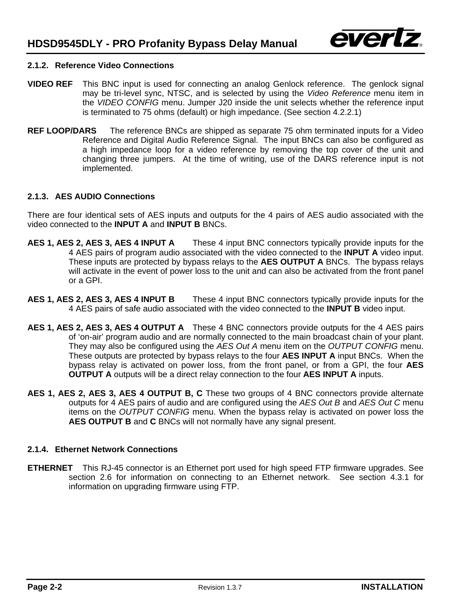

#### <span id="page-21-0"></span>**2.1.2. Reference Video Connections**

- **VIDEO REF** This BNC input is used for connecting an analog Genlock reference. The genlock signal may be tri-level sync, NTSC, and is selected by using the *Video Reference* menu item in the *VIDEO CONFIG* menu. Jumper J20 inside the unit selects whether the reference input is terminated to 75 ohms (default) or high impedance. (See section [4.2.2.1\)](#page-57-1)
- **REF LOOP/DARS** The reference BNCs are shipped as separate 75 ohm terminated inputs for a Video Reference and Digital Audio Reference Signal. The input BNCs can also be configured as a high impedance loop for a video reference by removing the top cover of the unit and changing three jumpers. At the time of writing, use of the DARS reference input is not implemented.

#### <span id="page-21-1"></span>**2.1.3. AES AUDIO Connections**

There are four identical sets of AES inputs and outputs for the 4 pairs of AES audio associated with the video connected to the **INPUT A** and **INPUT B** BNCs.

- **AES 1, AES 2, AES 3, AES 4 INPUT A** These 4 input BNC connectors typically provide inputs for the 4 AES pairs of program audio associated with the video connected to the **INPUT A** video input. These inputs are protected by bypass relays to the **AES OUTPUT A** BNCs. The bypass relays will activate in the event of power loss to the unit and can also be activated from the front panel or a GPI.
- **AES 1, AES 2, AES 3, AES 4 INPUT B** These 4 input BNC connectors typically provide inputs for the 4 AES pairs of safe audio associated with the video connected to the **INPUT B** video input.
- **AES 1, AES 2, AES 3, AES 4 OUTPUT A** These 4 BNC connectors provide outputs for the 4 AES pairs of 'on-air' program audio and are normally connected to the main broadcast chain of your plant. They may also be configured using the *AES Out A* menu item on the *OUTPUT CONFIG* menu. These outputs are protected by bypass relays to the four **AES INPUT A** input BNCs. When the bypass relay is activated on power loss, from the front panel, or from a GPI, the four **AES OUTPUT A** outputs will be a direct relay connection to the four **AES INPUT A** inputs.
- **AES 1, AES 2, AES 3, AES 4 OUTPUT B, C** These two groups of 4 BNC connectors provide alternate outputs for 4 AES pairs of audio and are configured using the *AES Out B* and *AES Out C* menu items on the *OUTPUT CONFIG* menu. When the bypass relay is activated on power loss the **AES OUTPUT B** and **C** BNCs will not normally have any signal present.

#### <span id="page-21-2"></span>**2.1.4. Ethernet Network Connections**

**ETHERNET** This RJ-45 connector is an Ethernet port used for high speed FTP firmware upgrades. See section [2.6](#page-26-0) for information on connecting to an Ethernet network. See section [4.3.1](#page-58-0) for information on upgrading firmware using FTP.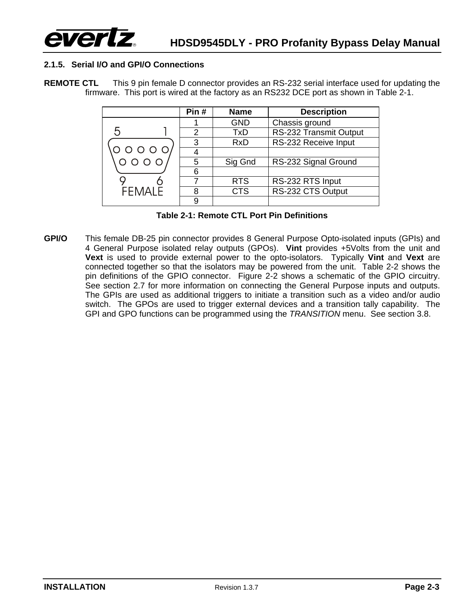#### <span id="page-22-0"></span>**2.1.5. Serial I/O and GPI/O Connections**

**AVA** 

**REMOTE CTL** This 9 pin female D connector provides an RS-232 serial interface used for updating the firmware. This port is wired at the factory as an RS232 DCE port as shown in [Table 2-1.](#page-22-1)

|               | Pin#          | <b>Name</b> | <b>Description</b>     |
|---------------|---------------|-------------|------------------------|
|               |               | <b>GND</b>  | Chassis ground         |
| 5             | $\mathcal{P}$ | TxD         | RS-232 Transmit Output |
|               | 3             | <b>RxD</b>  | RS-232 Receive Input   |
| 0 0 0 0 0,    |               |             |                        |
| $0000$        | 5             | Sig Gnd     | RS-232 Signal Ground   |
|               | 6             |             |                        |
|               |               | <b>RTS</b>  | RS-232 RTS Input       |
| <b>FEMALE</b> | 8             | <b>CTS</b>  | RS-232 CTS Output      |
|               | 9             |             |                        |

<span id="page-22-1"></span>**Table 2-1: Remote CTL Port Pin Definitions** 

**GPI/O** This female DB-25 pin connector provides 8 General Purpose Opto-isolated inputs (GPIs) and 4 General Purpose isolated relay outputs (GPOs). **Vint** provides +5Volts from the unit and **Vext** is used to provide external power to the opto-isolators. Typically **Vint** and **Vext** are connected together so that the isolators may be powered from the unit. [Table 2-2](#page-23-3) shows the pin definitions of the GPIO connector. [Figure 2-2](#page-28-0) shows a schematic of the GPIO circuitry. See section [2.7](#page-27-0) for more information on connecting the General Purpose inputs and outputs. The GPIs are used as additional triggers to initiate a transition such as a video and/or audio switch. The GPOs are used to trigger external devices and a transition tally capability. The GPI and GPO functions can be programmed using the *TRANSITION* menu. See section [3.8.](#page-39-1)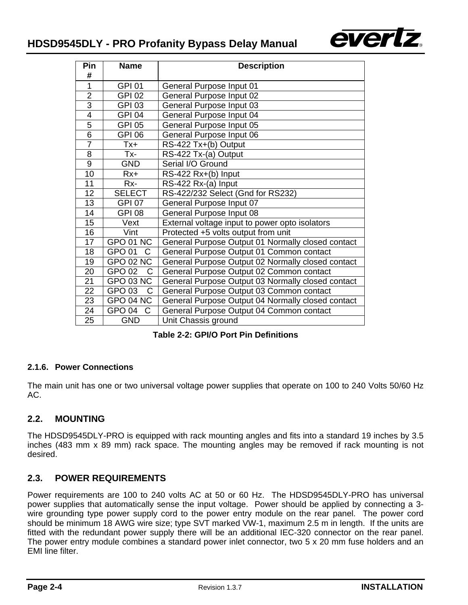

### **HDSD9545DLY - PRO Profanity Bypass Delay Manual**

| Pin<br>#        | <b>Name</b>      | <b>Description</b>                                |
|-----------------|------------------|---------------------------------------------------|
| 1               | <b>GPI 01</b>    | General Purpose Input 01                          |
| $\overline{2}$  | <b>GPI 02</b>    | General Purpose Input 02                          |
| $\overline{3}$  | <b>GPI 03</b>    | General Purpose Input 03                          |
| $\overline{4}$  | <b>GPI 04</b>    | General Purpose Input 04                          |
| $\overline{5}$  | <b>GPI 05</b>    | General Purpose Input 05                          |
| $\overline{6}$  | $GPI$ 06         | General Purpose Input 06                          |
| $\overline{7}$  | Tx+              | RS-422 Tx+(b) Output                              |
| $\overline{8}$  | Tx-              | RS-422 Tx-(a) Output                              |
| $\overline{9}$  | <b>GND</b>       | Serial I/O Ground                                 |
| $\overline{10}$ | Rx+              | RS-422 Rx+(b) Input                               |
| 11              | Rx-              | $\overline{\text{RS}}$ -422 Rx-(a) Input          |
| 12              | <b>SELECT</b>    | RS-422/232 Select (Gnd for RS232)                 |
| 13              | <b>GPI 07</b>    | General Purpose Input 07                          |
| 14              | <b>GPI 08</b>    | General Purpose Input 08                          |
| 15              | Vext             | External voltage input to power opto isolators    |
| $\overline{16}$ | Vint             | Protected +5 volts output from unit               |
| 17              | GPO 01 NC        | General Purpose Output 01 Normally closed contact |
| 18              | GPO 01<br>C      | General Purpose Output 01 Common contact          |
| 19              | <b>GPO 02 NC</b> | General Purpose Output 02 Normally closed contact |
| 20              | GPO 02<br>C      | General Purpose Output 02 Common contact          |
| 21              | <b>GPO 03 NC</b> | General Purpose Output 03 Normally closed contact |
| 22              | GPO 03<br>C      | General Purpose Output 03 Common contact          |
| 23              | GPO 04 NC        | General Purpose Output 04 Normally closed contact |
| 24              | C<br>GPO 04      | General Purpose Output 04 Common contact          |
| 25              | <b>GND</b>       | Unit Chassis ground                               |

<span id="page-23-3"></span>**Table 2-2: GPI/O Port Pin Definitions** 

#### <span id="page-23-0"></span>**2.1.6. Power Connections**

The main unit has one or two universal voltage power supplies that operate on 100 to 240 Volts 50/60 Hz AC.

#### <span id="page-23-1"></span>**2.2. MOUNTING**

The HDSD9545DLY-PRO is equipped with rack mounting angles and fits into a standard 19 inches by 3.5 inches (483 mm x 89 mm) rack space. The mounting angles may be removed if rack mounting is not desired.

#### <span id="page-23-2"></span>**2.3. POWER REQUIREMENTS**

Power requirements are 100 to 240 volts AC at 50 or 60 Hz. The HDSD9545DLY-PRO has universal power supplies that automatically sense the input voltage. Power should be applied by connecting a 3 wire grounding type power supply cord to the power entry module on the rear panel. The power cord should be minimum 18 AWG wire size; type SVT marked VW-1, maximum 2.5 m in length. If the units are fitted with the redundant power supply there will be an additional IEC-320 connector on the rear panel. The power entry module combines a standard power inlet connector, two 5 x 20 mm fuse holders and an EMI line filter.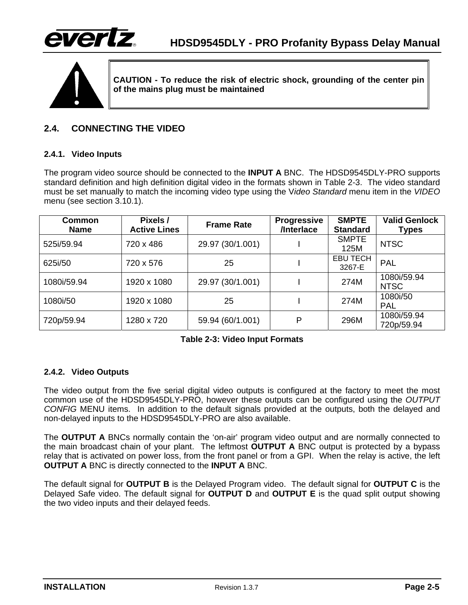



**CAUTION - To reduce the risk of electric shock, grounding of the center pin of the mains plug must be maintained** 

#### <span id="page-24-0"></span>**2.4. CONNECTING THE VIDEO**

#### <span id="page-24-1"></span>**2.4.1. Video Inputs**

The program video source should be connected to the **INPUT A** BNC. The HDSD9545DLY-PRO supports standard definition and high definition digital video in the formats shown in [Table 2-3.](#page-24-3) The video standard must be set manually to match the incoming video type using the V*ideo Standard* menu item in the *VIDEO* menu (see section [3.10.1\)](#page-44-1).

| <b>Common</b><br><b>Name</b> | Pixels /<br><b>Active Lines</b> | <b>Frame Rate</b> | <b>Progressive</b><br>/Interlace | <b>SMPTE</b><br><b>Standard</b> | <b>Valid Genlock</b><br>Types |
|------------------------------|---------------------------------|-------------------|----------------------------------|---------------------------------|-------------------------------|
| 525i/59.94                   | 720 x 486                       | 29.97 (30/1.001)  |                                  | <b>SMPTE</b><br>125M            | <b>NTSC</b>                   |
| 625i/50                      | 720 x 576                       | 25                |                                  | <b>EBU TECH</b><br>3267-E       | <b>PAL</b>                    |
| 1080i/59.94                  | 1920 x 1080                     | 29.97 (30/1.001)  |                                  | 274M                            | 1080i/59.94<br><b>NTSC</b>    |
| 1080i/50                     | 1920 x 1080                     | 25                |                                  | 274M                            | 1080i/50<br><b>PAL</b>        |
| 720p/59.94                   | 1280 x 720                      | 59.94 (60/1.001)  | P                                | 296M                            | 1080i/59.94<br>720p/59.94     |

<span id="page-24-3"></span>**Table 2-3: Video Input Formats** 

#### <span id="page-24-2"></span>**2.4.2. Video Outputs**

The video output from the five serial digital video outputs is configured at the factory to meet the most common use of the HDSD9545DLY-PRO, however these outputs can be configured using the *OUTPUT CONFIG* MENU items. In addition to the default signals provided at the outputs, both the delayed and non-delayed inputs to the HDSD9545DLY-PRO are also available.

The **OUTPUT A** BNCs normally contain the 'on-air' program video output and are normally connected to the main broadcast chain of your plant. The leftmost **OUTPUT A** BNC output is protected by a bypass relay that is activated on power loss, from the front panel or from a GPI. When the relay is active, the left **OUTPUT A** BNC is directly connected to the **INPUT A** BNC.

The default signal for **OUTPUT B** is the Delayed Program video. The default signal for **OUTPUT C** is the Delayed Safe video. The default signal for **OUTPUT D** and **OUTPUT E** is the quad split output showing the two video inputs and their delayed feeds.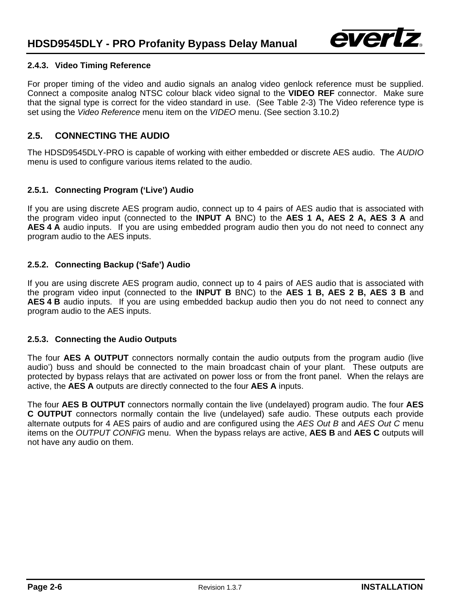

#### <span id="page-25-0"></span>**2.4.3. Video Timing Reference**

For proper timing of the video and audio signals an analog video genlock reference must be supplied. Connect a composite analog NTSC colour black video signal to the **VIDEO REF** connector. Make sure that the signal type is correct for the video standard in use. (See [Table 2-3\)](#page-24-3) The Video reference type is set using the *Video Reference* menu item on the *VIDEO* menu. (See section [3.10.2\)](#page-45-0)

#### <span id="page-25-1"></span>**2.5. CONNECTING THE AUDIO**

The HDSD9545DLY-PRO is capable of working with either embedded or discrete AES audio. The *AUDIO*  menu is used to configure various items related to the audio.

#### <span id="page-25-2"></span>**2.5.1. Connecting Program ('Live') Audio**

If you are using discrete AES program audio, connect up to 4 pairs of AES audio that is associated with the program video input (connected to the **INPUT A** BNC) to the **AES 1 A, AES 2 A, AES 3 A** and **AES 4 A** audio inputs. If you are using embedded program audio then you do not need to connect any program audio to the AES inputs.

#### <span id="page-25-3"></span>**2.5.2. Connecting Backup ('Safe') Audio**

If you are using discrete AES program audio, connect up to 4 pairs of AES audio that is associated with the program video input (connected to the **INPUT B** BNC) to the **AES 1 B, AES 2 B, AES 3 B** and **AES 4 B** audio inputs. If you are using embedded backup audio then you do not need to connect any program audio to the AES inputs.

#### <span id="page-25-4"></span>**2.5.3. Connecting the Audio Outputs**

The four **AES A OUTPUT** connectors normally contain the audio outputs from the program audio (live audio') buss and should be connected to the main broadcast chain of your plant. These outputs are protected by bypass relays that are activated on power loss or from the front panel. When the relays are active, the **AES A** outputs are directly connected to the four **AES A** inputs.

The four **AES B OUTPUT** connectors normally contain the live (undelayed) program audio. The four **AES C OUTPUT** connectors normally contain the live (undelayed) safe audio. These outputs each provide alternate outputs for 4 AES pairs of audio and are configured using the *AES Out B* and *AES Out C* menu items on the *OUTPUT CONFIG* menu. When the bypass relays are active, **AES B** and **AES C** outputs will not have any audio on them.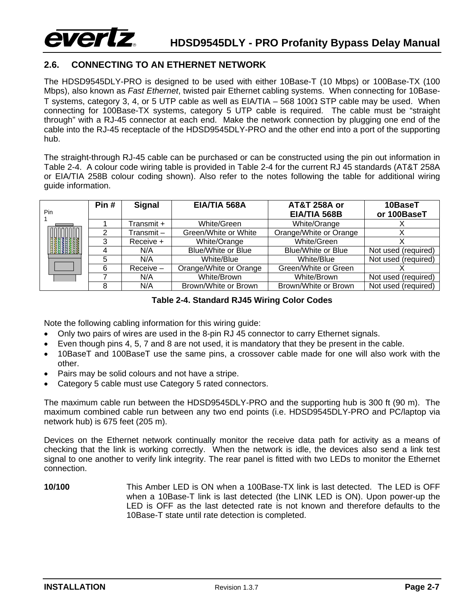#### <span id="page-26-0"></span>**2.6. CONNECTING TO AN ETHERNET NETWORK**

The HDSD9545DLY-PRO is designed to be used with either 10Base-T (10 Mbps) or 100Base-TX (100 Mbps), also known as *Fast Ethernet*, twisted pair Ethernet cabling systems. When connecting for 10Base-T systems, category 3, 4, or 5 UTP cable as well as EIA/TIA – 568 100Ω STP cable may be used. When connecting for 100Base-TX systems, category 5 UTP cable is required. The cable must be "straight through" with a RJ-45 connector at each end. Make the network connection by plugging one end of the cable into the RJ-45 receptacle of the HDSD9545DLY-PRO and the other end into a port of the supporting hub.

The straight-through RJ-45 cable can be purchased or can be constructed using the pin out information in [Table 2-4.](#page-26-1) A colour code wiring table is provided in [Table 2-4](#page-26-1) for the current RJ 45 standards (AT&T 258A or EIA/TIA 258B colour coding shown). Also refer to the notes following the table for additional wiring guide information.

| Pin | Pin# | <b>Signal</b> | EIA/TIA 568A              | AT&T 258A or<br>EIA/TIA 568B | 10BaseT<br>or 100BaseT |
|-----|------|---------------|---------------------------|------------------------------|------------------------|
|     |      | Transmit +    | White/Green               | White/Orange                 |                        |
|     | 2    | Transmit –    | Green/White or White      | Orange/White or Orange       |                        |
|     | З    | Receive +     | White/Orange              | White/Green                  |                        |
|     |      | N/A           | <b>Blue/White or Blue</b> | <b>Blue/White or Blue</b>    | Not used (required)    |
|     | 5    | N/A           | White/Blue                | White/Blue                   | Not used (required)    |
|     | 6    | Receive-      | Orange/White or Orange    | Green/White or Green         |                        |
|     |      | N/A           | White/Brown               | White/Brown                  | Not used (required)    |
|     |      | N/A           | Brown/White or Brown      | Brown/White or Brown         | Not used (required)    |

<span id="page-26-1"></span>**Table 2-4. Standard RJ45 Wiring Color Codes** 

Note the following cabling information for this wiring guide:

- Only two pairs of wires are used in the 8-pin RJ 45 connector to carry Ethernet signals.
- Even though pins 4, 5, 7 and 8 are not used, it is mandatory that they be present in the cable.
- 10BaseT and 100BaseT use the same pins, a crossover cable made for one will also work with the other.
- Pairs may be solid colours and not have a stripe.
- Category 5 cable must use Category 5 rated connectors.

The maximum cable run between the HDSD9545DLY-PRO and the supporting hub is 300 ft (90 m). The maximum combined cable run between any two end points (i.e. HDSD9545DLY-PRO and PC/laptop via network hub) is 675 feet (205 m).

Devices on the Ethernet network continually monitor the receive data path for activity as a means of checking that the link is working correctly. When the network is idle, the devices also send a link test signal to one another to verify link integrity. The rear panel is fitted with two LEDs to monitor the Ethernet connection.

**10/100** This Amber LED is ON when a 100Base-TX link is last detected. The LED is OFF when a 10Base-T link is last detected (the LINK LED is ON). Upon power-up the LED is OFF as the last detected rate is not known and therefore defaults to the 10Base-T state until rate detection is completed.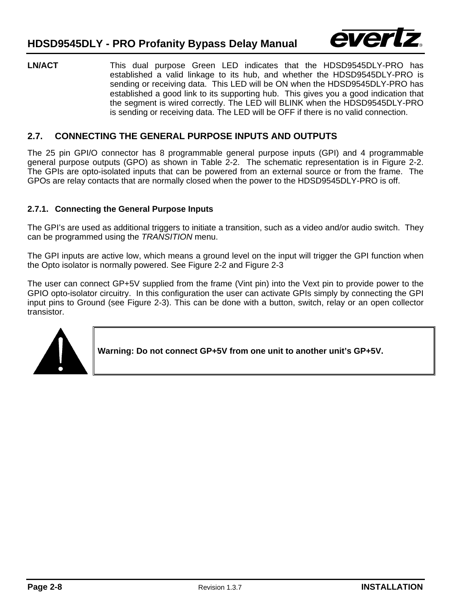

**LN/ACT** This dual purpose Green LED indicates that the HDSD9545DLY-PRO has established a valid linkage to its hub, and whether the HDSD9545DLY-PRO is sending or receiving data. This LED will be ON when the HDSD9545DLY-PRO has established a good link to its supporting hub. This gives you a good indication that the segment is wired correctly. The LED will BLINK when the HDSD9545DLY-PRO is sending or receiving data. The LED will be OFF if there is no valid connection.

#### <span id="page-27-0"></span>**2.7. CONNECTING THE GENERAL PURPOSE INPUTS AND OUTPUTS**

The 25 pin GPI/O connector has 8 programmable general purpose inputs (GPI) and 4 programmable general purpose outputs (GPO) as shown in [Table 2-2.](#page-23-3) The schematic representation is in [Figure 2-2.](#page-28-0) The GPIs are opto-isolated inputs that can be powered from an external source or from the frame. The GPOs are relay contacts that are normally closed when the power to the HDSD9545DLY-PRO is off.

#### <span id="page-27-1"></span>**2.7.1. Connecting the General Purpose Inputs**

The GPI's are used as additional triggers to initiate a transition, such as a video and/or audio switch. They can be programmed using the *TRANSITION* menu.

The GPI inputs are active low, which means a ground level on the input will trigger the GPI function when the Opto isolator is normally powered. See [Figure 2-2](#page-28-0) and [Figure 2-3](#page-29-1) 

The user can connect GP+5V supplied from the frame (Vint pin) into the Vext pin to provide power to the GPIO opto-isolator circuitry. In this configuration the user can activate GPIs simply by connecting the GPI input pins to Ground (see [Figure 2-3\)](#page-29-1). This can be done with a button, switch, relay or an open collector transistor.



**Warning: Do not connect GP+5V from one unit to another unit's GP+5V.**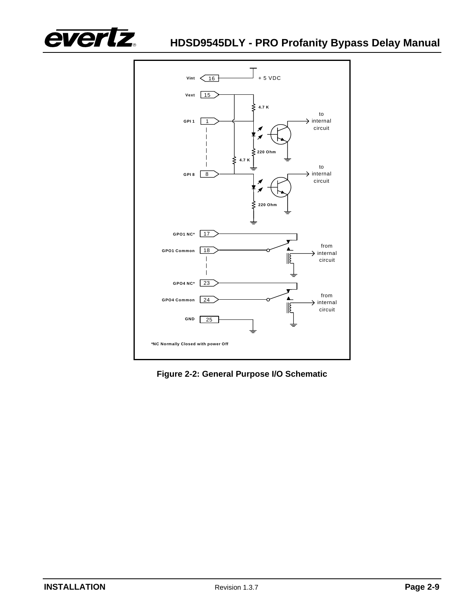

## **HDSD9545DLY - PRO Profanity Bypass Delay Manual**



<span id="page-28-0"></span>**Figure 2-2: General Purpose I/O Schematic**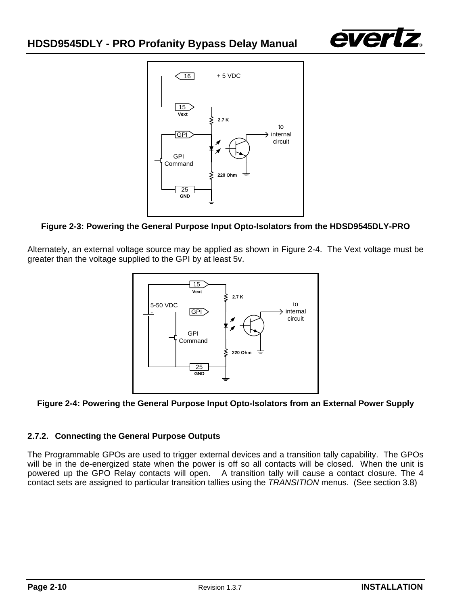



#### <span id="page-29-1"></span>**Figure 2-3: Powering the General Purpose Input Opto-Isolators from the HDSD9545DLY-PRO**

Alternately, an external voltage source may be applied as shown in [Figure 2-4.](#page-29-2) The Vext voltage must be greater than the voltage supplied to the GPI by at least 5v.



#### <span id="page-29-2"></span>**Figure 2-4: Powering the General Purpose Input Opto-Isolators from an External Power Supply**

#### <span id="page-29-0"></span>**2.7.2. Connecting the General Purpose Outputs**

The Programmable GPOs are used to trigger external devices and a transition tally capability. The GPOs will be in the de-energized state when the power is off so all contacts will be closed. When the unit is powered up the GPO Relay contacts will open. A transition tally will cause a contact closure. The 4 contact sets are assigned to particular transition tallies using the *TRANSITION* menus. (See section [3.8\)](#page-39-1)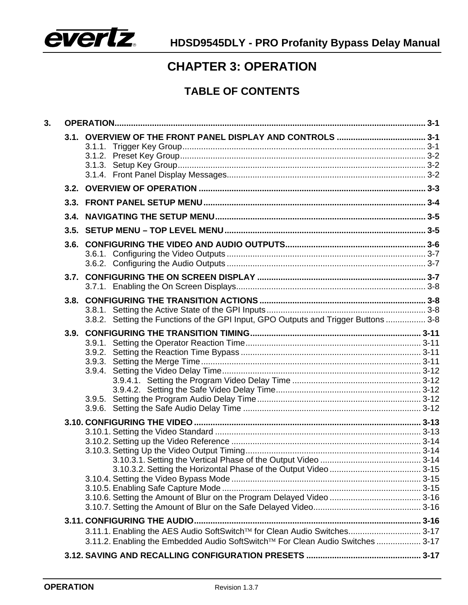

## **CHAPTER 3: OPERATION**

## **TABLE OF CONTENTS**

| 3.8.2. Setting the Functions of the GPI Input, GPO Outputs and Trigger Buttons  3-8                                                                        |  |
|------------------------------------------------------------------------------------------------------------------------------------------------------------|--|
|                                                                                                                                                            |  |
|                                                                                                                                                            |  |
| 3.11.1. Enabling the AES Audio SoftSwitch™ for Clean Audio Switches 3-17<br>3.11.2. Enabling the Embedded Audio SoftSwitch™ For Clean Audio Switches  3-17 |  |
|                                                                                                                                                            |  |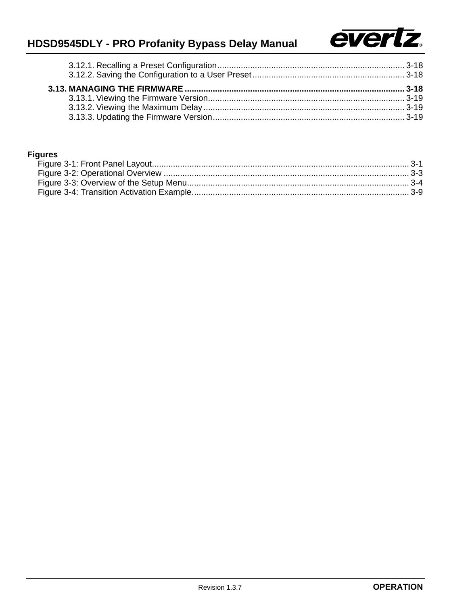## HDSD9545DLY - PRO Profanity Bypass Delay Manual



#### **Figures**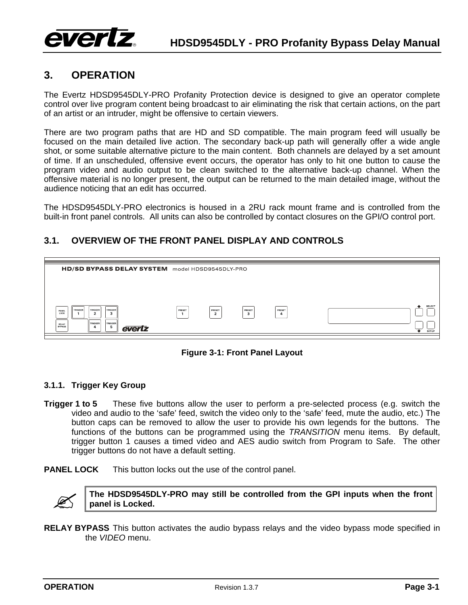

### <span id="page-32-0"></span>**3. OPERATION**

The Evertz HDSD9545DLY-PRO Profanity Protection device is designed to give an operator complete control over live program content being broadcast to air eliminating the risk that certain actions, on the part of an artist or an intruder, might be offensive to certain viewers.

There are two program paths that are HD and SD compatible. The main program feed will usually be focused on the main detailed live action. The secondary back-up path will generally offer a wide angle shot, or some suitable alternative picture to the main content. Both channels are delayed by a set amount of time. If an unscheduled, offensive event occurs, the operator has only to hit one button to cause the program video and audio output to be clean switched to the alternative back-up channel. When the offensive material is no longer present, the output can be returned to the main detailed image, without the audience noticing that an edit has occurred.

The HDSD9545DLY-PRO electronics is housed in a 2RU rack mount frame and is controlled from the built-in front panel controls. All units can also be controlled by contact closures on the GPI/O control port.

#### <span id="page-32-1"></span>**3.1. OVERVIEW OF THE FRONT PANEL DISPLAY AND CONTROLS**

| HD/SD BYPASS DELAY SYSTEM model HDSD9545DLY-PRO                                                                                   |        |                          |                        |        |                 |
|-----------------------------------------------------------------------------------------------------------------------------------|--------|--------------------------|------------------------|--------|-----------------|
|                                                                                                                                   |        |                          |                        |        |                 |
| TRIGGER<br>TRIGGER<br>TRIGGER<br>PANEL<br>LOCK<br>$\sim$<br>$\sim$<br>TRIGGER<br>TRIGGER<br>RELAY<br>5<br><b>BYPASS</b><br>evertz | PRESET | PRESET<br>$\overline{2}$ | PRESET<br>$\mathbf{3}$ | PRESET | SELECT<br>SETUP |

<span id="page-32-3"></span>**Figure 3-1: Front Panel Layout** 

#### <span id="page-32-2"></span>**3.1.1. Trigger Key Group**

**Trigger 1 to 5** These five buttons allow the user to perform a pre-selected process (e.g. switch the video and audio to the 'safe' feed, switch the video only to the 'safe' feed, mute the audio, etc.) The button caps can be removed to allow the user to provide his own legends for the buttons. The functions of the buttons can be programmed using the *TRANSITION* menu items. By default, trigger button 1 causes a timed video and AES audio switch from Program to Safe. The other trigger buttons do not have a default setting.

**PANEL LOCK** This button locks out the use of the control panel.



" **The HDSD9545DLY-PRO may still be controlled from the GPI inputs when the front panel is Locked.** 

**RELAY BYPASS** This button activates the audio bypass relays and the video bypass mode specified in the *VIDEO* menu.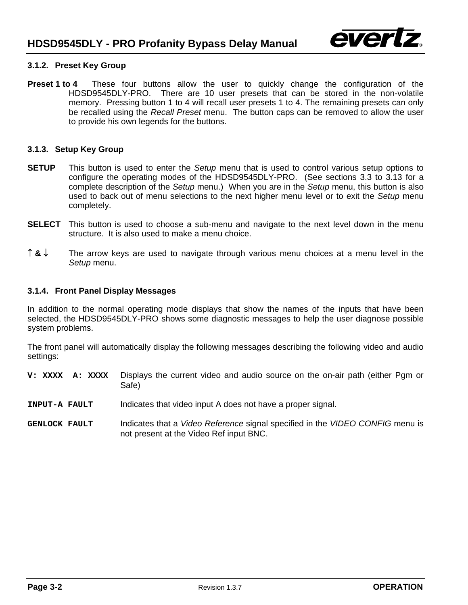

#### <span id="page-33-0"></span>**3.1.2. Preset Key Group**

**Preset 1 to 4** These four buttons allow the user to quickly change the configuration of the HDSD9545DLY-PRO. There are 10 user presets that can be stored in the non-volatile memory. Pressing button 1 to 4 will recall user presets 1 to 4. The remaining presets can only be recalled using the *Recall Preset* menu. The button caps can be removed to allow the user to provide his own legends for the buttons.

#### <span id="page-33-1"></span>**3.1.3. Setup Key Group**

- **SETUP** This button is used to enter the *Setup* menu that is used to control various setup options to configure the operating modes of the HDSD9545DLY-PRO. (See sections [3.3](#page-35-0) to [3.13](#page-49-2) for a complete description of the *Setup* menu.) When you are in the *Setup* menu, this button is also used to back out of menu selections to the next higher menu level or to exit the *Setup* menu completely.
- **SELECT** This button is used to choose a sub-menu and navigate to the next level down in the menu structure. It is also used to make a menu choice.
- ↑ **&** ↓ The arrow keys are used to navigate through various menu choices at a menu level in the *Setup* menu.

#### <span id="page-33-2"></span>**3.1.4. Front Panel Display Messages**

In addition to the normal operating mode displays that show the names of the inputs that have been selected, the HDSD9545DLY-PRO shows some diagnostic messages to help the user diagnose possible system problems.

The front panel will automatically display the following messages describing the following video and audio settings:

- **V: XXXX A: XXXX** Displays the current video and audio source on the on-air path (either Pgm or Safe)
- **INPUT-A FAULT** Indicates that video input A does not have a proper signal.
- **GENLOCK FAULT** Indicates that a *Video Reference* signal specified in the *VIDEO CONFIG* menu is not present at the Video Ref input BNC.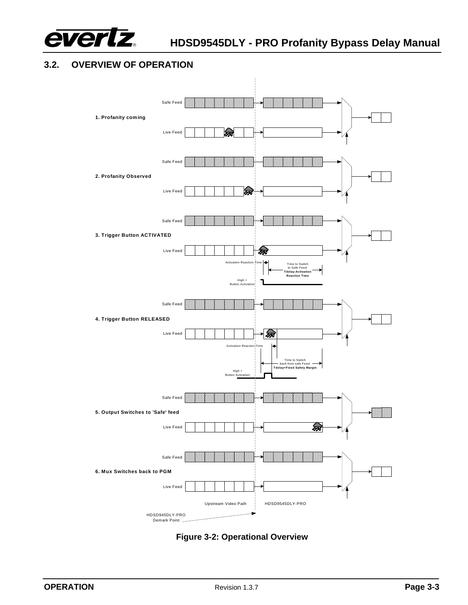

### **3.2. OVERVIEW OF OPERATION**

<span id="page-34-0"></span>

<span id="page-34-1"></span>**Figure 3-2: Operational Overview**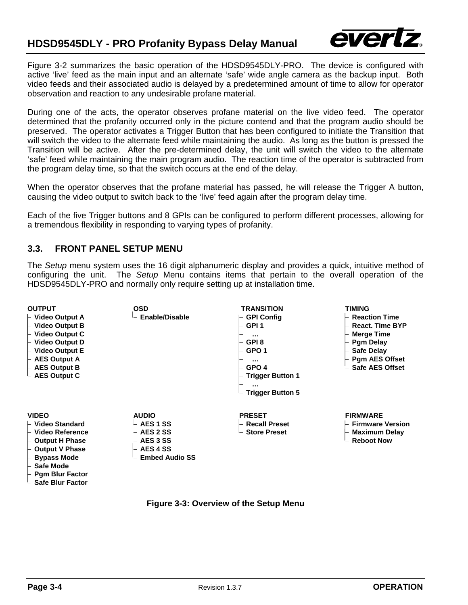

[Figure 3-2](#page-34-1) summarizes the basic operation of the HDSD9545DLY-PRO. The device is configured with active 'live' feed as the main input and an alternate 'safe' wide angle camera as the backup input. Both video feeds and their associated audio is delayed by a predetermined amount of time to allow for operator observation and reaction to any undesirable profane material.

During one of the acts, the operator observes profane material on the live video feed. The operator determined that the profanity occurred only in the picture contend and that the program audio should be preserved. The operator activates a Trigger Button that has been configured to initiate the Transition that will switch the video to the alternate feed while maintaining the audio. As long as the button is pressed the Transition will be active. After the pre-determined delay, the unit will switch the video to the alternate 'safe' feed while maintaining the main program audio. The reaction time of the operator is subtracted from the program delay time, so that the switch occurs at the end of the delay.

When the operator observes that the profane material has passed, he will release the Trigger A button, causing the video output to switch back to the 'live' feed again after the program delay time.

Each of the five Trigger buttons and 8 GPIs can be configured to perform different processes, allowing for a tremendous flexibility in responding to varying types of profanity.

#### <span id="page-35-0"></span>**3.3. FRONT PANEL SETUP MENU**

The *Setup* menu system uses the 16 digit alphanumeric display and provides a quick, intuitive method of configuring the unit. The *Setup* Menu contains items that pertain to the overall operation of the HDSD9545DLY-PRO and normally only require setting up at installation time.



<span id="page-35-1"></span>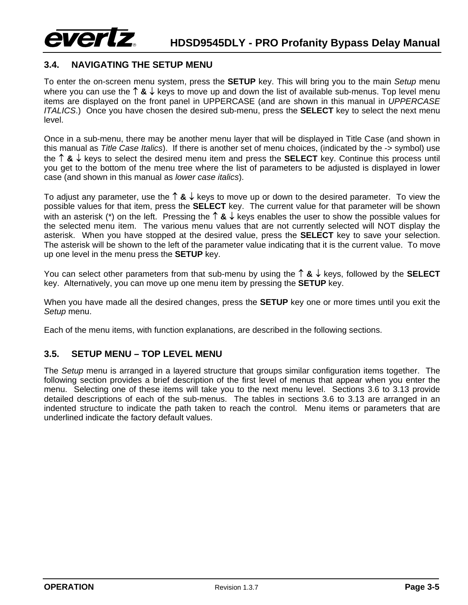

#### <span id="page-36-0"></span>**3.4. NAVIGATING THE SETUP MENU**

To enter the on-screen menu system, press the **SETUP** key. This will bring you to the main *Setup* menu where you can use the ↑ **&** ↓ keys to move up and down the list of available sub-menus. Top level menu items are displayed on the front panel in UPPERCASE (and are shown in this manual in *UPPERCASE ITALICS*.) Once you have chosen the desired sub-menu, press the **SELECT** key to select the next menu level.

Once in a sub-menu, there may be another menu layer that will be displayed in Title Case (and shown in this manual as *Title Case Italics*). If there is another set of menu choices, (indicated by the -> symbol) use the ↑ **&** ↓ keys to select the desired menu item and press the **SELECT** key. Continue this process until you get to the bottom of the menu tree where the list of parameters to be adjusted is displayed in lower case (and shown in this manual as *lower case italics*).

To adjust any parameter, use the ↑ **&** ↓ keys to move up or down to the desired parameter. To view the possible values for that item, press the **SELECT** key. The current value for that parameter will be shown with an asterisk (\*) on the left. Pressing the ↑ **&** ↓ keys enables the user to show the possible values for the selected menu item. The various menu values that are not currently selected will NOT display the asterisk. When you have stopped at the desired value, press the **SELECT** key to save your selection. The asterisk will be shown to the left of the parameter value indicating that it is the current value. To move up one level in the menu press the **SETUP** key.

You can select other parameters from that sub-menu by using the ↑ **&** ↓ keys, followed by the **SELECT** key. Alternatively, you can move up one menu item by pressing the **SETUP** key.

When you have made all the desired changes, press the **SETUP** key one or more times until you exit the *Setup* menu.

Each of the menu items, with function explanations, are described in the following sections.

#### <span id="page-36-1"></span>**3.5. SETUP MENU – TOP LEVEL MENU**

The *Setup* menu is arranged in a layered structure that groups similar configuration items together. The following section provides a brief description of the first level of menus that appear when you enter the menu. Selecting one of these items will take you to the next menu level. Sections [3.6](#page-37-0) to [3.13](#page-49-2) provide detailed descriptions of each of the sub-menus. The tables in sections [3.6](#page-37-0) to [3.13](#page-49-2) are arranged in an indented structure to indicate the path taken to reach the control. Menu items or parameters that are underlined indicate the factory default values.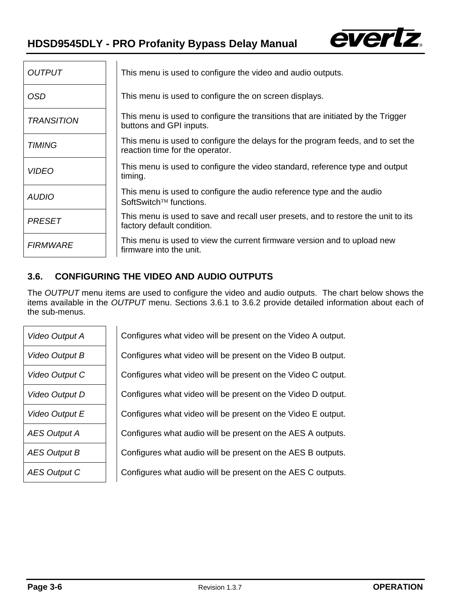

| <b>OUTPUT</b>     | This menu is used to configure the video and audio outputs.                                                        |
|-------------------|--------------------------------------------------------------------------------------------------------------------|
| OSD               | This menu is used to configure the on screen displays.                                                             |
| <b>TRANSITION</b> | This menu is used to configure the transitions that are initiated by the Trigger<br>buttons and GPI inputs.        |
| <b>TIMING</b>     | This menu is used to configure the delays for the program feeds, and to set the<br>reaction time for the operator. |
| <b>VIDEO</b>      | This menu is used to configure the video standard, reference type and output<br>timing.                            |
| <b>AUDIO</b>      | This menu is used to configure the audio reference type and the audio<br>SoftSwitch <sup>™</sup> functions.        |
| <b>PRESET</b>     | This menu is used to save and recall user presets, and to restore the unit to its<br>factory default condition.    |
| <b>FIRMWARE</b>   | This menu is used to view the current firmware version and to upload new<br>firmware into the unit.                |

### <span id="page-37-0"></span>**3.6. CONFIGURING THE VIDEO AND AUDIO OUTPUTS**

The *OUTPUT* menu items are used to configure the video and audio outputs. The chart below shows the items available in the *OUTPUT* menu. Sections [3.6.1](#page-38-0) to [3.6.2](#page-38-1) provide detailed information about each of the sub-menus.

| Video Output A      | Configures what video will be present on the Video A output. |
|---------------------|--------------------------------------------------------------|
| Video Output B      | Configures what video will be present on the Video B output. |
| Video Output C      | Configures what video will be present on the Video C output. |
| Video Output D      | Configures what video will be present on the Video D output. |
| Video Output E      | Configures what video will be present on the Video E output. |
| <b>AES Output A</b> | Configures what audio will be present on the AES A outputs.  |
| <b>AES Output B</b> | Configures what audio will be present on the AES B outputs.  |
| <b>AES Output C</b> | Configures what audio will be present on the AES C outputs.  |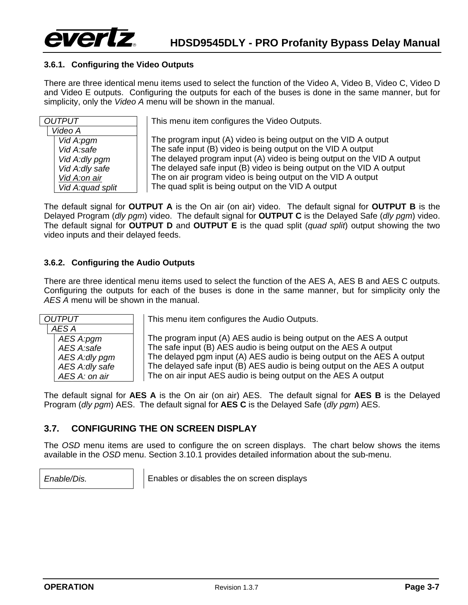

#### <span id="page-38-0"></span>**3.6.1. Configuring the Video Outputs**

There are three identical menu items used to select the function of the Video A, Video B, Video C, Video D and Video E outputs. Configuring the outputs for each of the buses is done in the same manner, but for simplicity, only the *Video A* menu will be shown in the manual.

| <b>OUTPUT</b>    |  |  |  |  |
|------------------|--|--|--|--|
| Video A          |  |  |  |  |
| Vid A:pgm        |  |  |  |  |
| Vid A:safe       |  |  |  |  |
| Vid A:dly pgm    |  |  |  |  |
| Vid A:dly safe   |  |  |  |  |
| Vid A:on air     |  |  |  |  |
| Vid A:quad split |  |  |  |  |

This menu item configures the Video Outputs.

The program input (A) video is being output on the VID A output The safe input (B) video is being output on the VID A output The delayed program input (A) video is being output on the VID A output The delayed safe input (B) video is being output on the VID A output The on air program video is being output on the VID A output The quad split is being output on the VID A output

The default signal for **OUTPUT A** is the On air (on air) video. The default signal for **OUTPUT B** is the Delayed Program (*dly pgm*) video. The default signal for **OUTPUT C** is the Delayed Safe (*dly pgm*) video. The default signal for **OUTPUT D** and **OUTPUT E** is the quad split (*quad split*) output showing the two video inputs and their delayed feeds.

#### <span id="page-38-1"></span>**3.6.2. Configuring the Audio Outputs**

There are three identical menu items used to select the function of the AES A, AES B and AES C outputs. Configuring the outputs for each of the buses is done in the same manner, but for simplicity only the *AES A* menu will be shown in the manual.

| <i>OUTPUT</i>  |  |
|----------------|--|
| AES A          |  |
| AES A:pgm      |  |
| AES A:safe     |  |
| AES A:dly pgm  |  |
| AES A:dly safe |  |
| AES A: on air  |  |

This menu item configures the Audio Outputs.

The program input (A) AES audio is being output on the AES A output The safe input (B) AES audio is being output on the AES A output The delayed pgm input (A) AES audio is being output on the AES A output The delayed safe input (B) AES audio is being output on the AES A output The on air input AES audio is being output on the AES A output

The default signal for **AES A** is the On air (on air) AES. The default signal for **AES B** is the Delayed Program (*dly pgm*) AES. The default signal for **AES C** is the Delayed Safe (*dly pgm*) AES.

#### <span id="page-38-2"></span>**3.7. CONFIGURING THE ON SCREEN DISPLAY**

The *OSD* menu items are used to configure the on screen displays. The chart below shows the items available in the *OSD* menu. Section [3.10.1](#page-45-3) provides detailed information about the sub-menu.

*Enable/Dis.* Enables or disables the on screen displays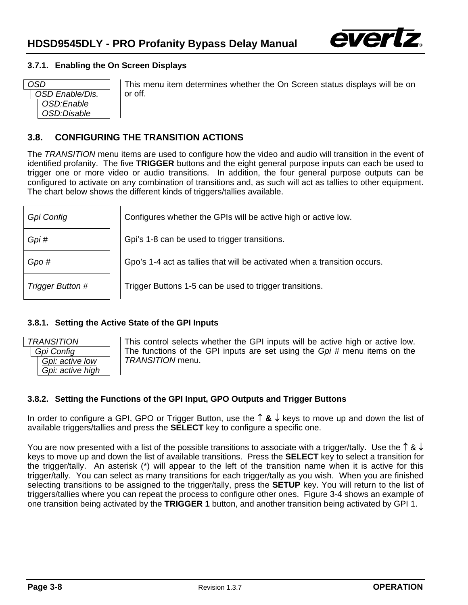

#### <span id="page-39-0"></span>**3.7.1. Enabling the On Screen Displays**

| OSD |                 |  |  |
|-----|-----------------|--|--|
|     | OSD Enable/Dis. |  |  |
|     | OSD:Enable      |  |  |
|     | OSD:Disable     |  |  |

 $\lceil$ 

This menu item determines whether the On Screen status displays will be on or off.

#### <span id="page-39-1"></span>**3.8. CONFIGURING THE TRANSITION ACTIONS**

The *TRANSITION* menu items are used to configure how the video and audio will transition in the event of identified profanity. The five **TRIGGER** buttons and the eight general purpose inputs can each be used to trigger one or more video or audio transitions. In addition, the four general purpose outputs can be configured to activate on any combination of transitions and, as such will act as tallies to other equipment. The chart below shows the different kinds of triggers/tallies available.

| Gpi Config              | Configures whether the GPIs will be active high or active low.            |
|-------------------------|---------------------------------------------------------------------------|
| Gpi#                    | Gpi's 1-8 can be used to trigger transitions.                             |
| Gpo#                    | Gpo's 1-4 act as tallies that will be activated when a transition occurs. |
| <b>Trigger Button #</b> | Trigger Buttons 1-5 can be used to trigger transitions.                   |

#### <span id="page-39-2"></span>**3.8.1. Setting the Active State of the GPI Inputs**

| <b>TRANSITION</b> |                  |  |  |  |  |
|-------------------|------------------|--|--|--|--|
| Gpi Config        |                  |  |  |  |  |
|                   | Gpi: active low  |  |  |  |  |
|                   | Gpi: active high |  |  |  |  |

This control selects whether the GPI inputs will be active high or active low. The functions of the GPI inputs are set using the *Gpi #* menu items on the *TRANSITION* menu.

#### <span id="page-39-3"></span>**3.8.2. Setting the Functions of the GPI Input, GPO Outputs and Trigger Buttons**

In order to configure a GPI, GPO or Trigger Button, use the ↑ **&** ↓ keys to move up and down the list of available triggers/tallies and press the **SELECT** key to configure a specific one.

You are now presented with a list of the possible transitions to associate with a trigger/tally. Use the  $\uparrow$  &  $\downarrow$ keys to move up and down the list of available transitions. Press the **SELECT** key to select a transition for the trigger/tally. An asterisk (\*) will appear to the left of the transition name when it is active for this trigger/tally. You can select as many transitions for each trigger/tally as you wish. When you are finished selecting transitions to be assigned to the trigger/tally, press the **SETUP** key. You will return to the list of triggers/tallies where you can repeat the process to configure other ones. [Figure 3-4](#page-40-0) shows an example of one transition being activated by the **TRIGGER 1** button, and another transition being activated by GPI 1.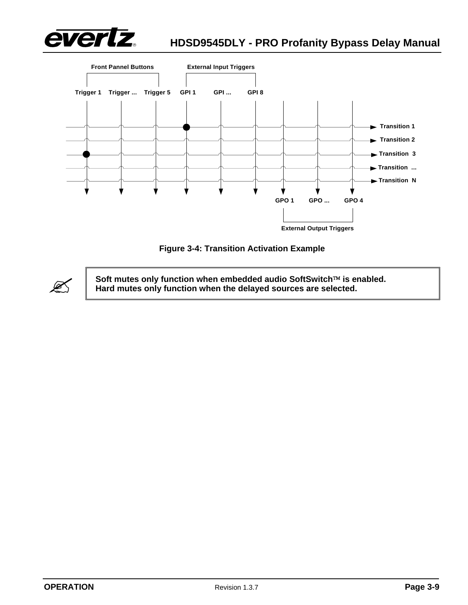



<span id="page-40-0"></span>



**Soft mutes only function when embedded audio SoftSwitch™ is enabled.**<br>■ Hard mutes only function when the delayed sources are selected.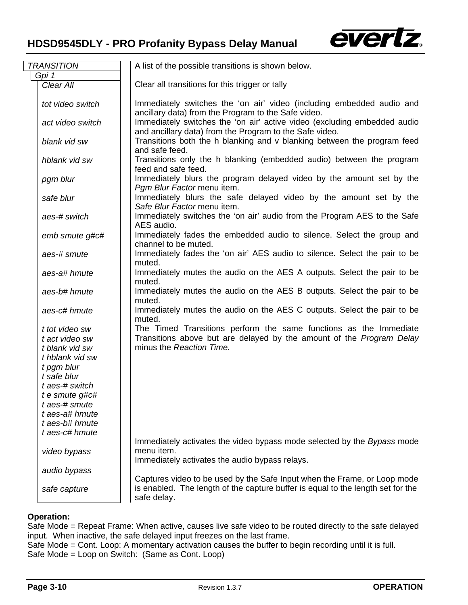

| <b>TRANSITION</b> |                  | A list of the possible transitions is shown below.                                                                                                                         |
|-------------------|------------------|----------------------------------------------------------------------------------------------------------------------------------------------------------------------------|
| Gpi 1             |                  |                                                                                                                                                                            |
|                   | Clear All        | Clear all transitions for this trigger or tally                                                                                                                            |
|                   | tot video switch | Immediately switches the 'on air' video (including embedded audio and<br>ancillary data) from the Program to the Safe video.                                               |
|                   | act video switch | Immediately switches the 'on air' active video (excluding embedded audio<br>and ancillary data) from the Program to the Safe video.                                        |
|                   | blank vid sw     | Transitions both the h blanking and v blanking between the program feed<br>and safe feed.                                                                                  |
|                   | hblank vid sw    | Transitions only the h blanking (embedded audio) between the program<br>feed and safe feed.                                                                                |
|                   | pgm blur         | Immediately blurs the program delayed video by the amount set by the<br>Pgm Blur Factor menu item.                                                                         |
|                   | safe blur        | Immediately blurs the safe delayed video by the amount set by the<br>Safe Blur Factor menu item.                                                                           |
|                   | aes-# switch     | Immediately switches the 'on air' audio from the Program AES to the Safe<br>AES audio.                                                                                     |
|                   | emb smute g#c#   | Immediately fades the embedded audio to silence. Select the group and<br>channel to be muted.                                                                              |
|                   | aes-# smute      | Immediately fades the 'on air' AES audio to silence. Select the pair to be<br>muted.                                                                                       |
|                   | aes-a# hmute     | Immediately mutes the audio on the AES A outputs. Select the pair to be<br>muted.                                                                                          |
|                   | aes-b# hmute     | Immediately mutes the audio on the AES B outputs. Select the pair to be<br>muted.                                                                                          |
|                   | aes-c# hmute     | Immediately mutes the audio on the AES C outputs. Select the pair to be<br>muted.                                                                                          |
|                   | t tot video sw   | The Timed Transitions perform the same functions as the Immediate                                                                                                          |
|                   | t act video sw   | Transitions above but are delayed by the amount of the Program Delay                                                                                                       |
|                   | t blank vid sw   | minus the Reaction Time.                                                                                                                                                   |
|                   | t hblank vid sw  |                                                                                                                                                                            |
|                   | t pgm blur       |                                                                                                                                                                            |
|                   | t safe blur      |                                                                                                                                                                            |
|                   | t aes-# switch   |                                                                                                                                                                            |
|                   | t e smute g#c#   |                                                                                                                                                                            |
|                   | t aes-# smute    |                                                                                                                                                                            |
|                   | t aes-a# hmute   |                                                                                                                                                                            |
|                   | t aes-b# hmute   |                                                                                                                                                                            |
|                   | t aes-c# hmute   |                                                                                                                                                                            |
|                   | video bypass     | Immediately activates the video bypass mode selected by the <i>Bypass</i> mode<br>menu item.<br>Immediately activates the audio bypass relays.                             |
|                   | audio bypass     |                                                                                                                                                                            |
|                   | safe capture     | Captures video to be used by the Safe Input when the Frame, or Loop mode<br>is enabled. The length of the capture buffer is equal to the length set for the<br>safe delay. |

#### **Operation:**

Safe Mode = Repeat Frame: When active, causes live safe video to be routed directly to the safe delayed input. When inactive, the safe delayed input freezes on the last frame. Safe Mode = Cont. Loop: A momentary activation causes the buffer to begin recording until it is full.

Safe Mode = Loop on Switch: (Same as Cont. Loop)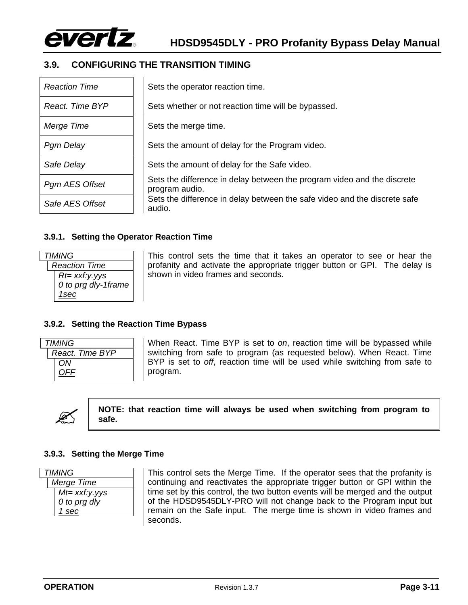

#### <span id="page-42-0"></span>**3.9. CONFIGURING THE TRANSITION TIMING**

| <b>Reaction Time</b> | Sets the operator reaction time.                                                          |  |  |
|----------------------|-------------------------------------------------------------------------------------------|--|--|
| React. Time BYP      | Sets whether or not reaction time will be bypassed.                                       |  |  |
| Merge Time           | Sets the merge time.                                                                      |  |  |
| Pgm Delay            | Sets the amount of delay for the Program video.                                           |  |  |
| Safe Delay           | Sets the amount of delay for the Safe video.                                              |  |  |
| Pgm AES Offset       | Sets the difference in delay between the program video and the discrete<br>program audio. |  |  |
| Safe AES Offset      | Sets the difference in delay between the safe video and the discrete safe<br>audio.       |  |  |
|                      |                                                                                           |  |  |

#### <span id="page-42-1"></span>**3.9.1. Setting the Operator Reaction Time**



This control sets the time that it takes an operator to see or hear the profanity and activate the appropriate trigger button or GPI. The delay is shown in video frames and seconds.

#### <span id="page-42-2"></span>**3.9.2. Setting the Reaction Time Bypass**



When React. Time BYP is set to *on*, reaction time will be bypassed while switching from safe to program (as requested below). When React. Time BYP is set to *off*, reaction time will be used while switching from safe to program.



" **NOTE: that reaction time will always be used when switching from program to safe.** 

#### <span id="page-42-3"></span>**3.9.3. Setting the Merge Time**

| TIMING           |  |  |  |
|------------------|--|--|--|
| Merge Time       |  |  |  |
| $Mt = xxf:y.yys$ |  |  |  |
| 0 to prg dly     |  |  |  |
| 1 sec            |  |  |  |
|                  |  |  |  |

This control sets the Merge Time. If the operator sees that the profanity is continuing and reactivates the appropriate trigger button or GPI within the time set by this control, the two button events will be merged and the output of the HDSD9545DLY-PRO will not change back to the Program input but remain on the Safe input. The merge time is shown in video frames and seconds.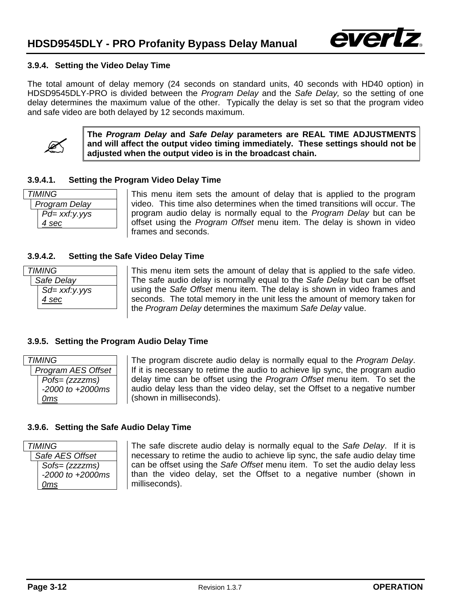

#### <span id="page-43-0"></span>**3.9.4. Setting the Video Delay Time**

The total amount of delay memory (24 seconds on standard units, 40 seconds with HD40 option) in HDSD9545DLY-PRO is divided between the *Program Delay* and the *Safe Delay,* so the setting of one delay determines the maximum value of the other. Typically the delay is set so that the program video and safe video are both delayed by 12 seconds maximum.



**The** *Program Delay* **and** *Safe Delay* **parameters are REAL TIME ADJUSTMENTS and will affect the output video timing immediately. These settings should not be adjusted when the output video is in the broadcast chain.** 

#### <span id="page-43-1"></span>**3.9.4.1. Setting the Program Video Delay Time**

| TIMING           |  |  |
|------------------|--|--|
| Program Delay    |  |  |
| $Pd = xxf:y.yys$ |  |  |
| 4 sec            |  |  |

This menu item sets the amount of delay that is applied to the program video. This time also determines when the timed transitions will occur. The program audio delay is normally equal to the *Program Delay* but can be offset using the *Program Offset* menu item. The delay is shown in video frames and seconds.

#### <span id="page-43-2"></span>**3.9.4.2. Setting the Safe Video Delay Time**

| TIMING |                  |  |
|--------|------------------|--|
|        | Safe Delay       |  |
|        | $Sd = xxf:y.yys$ |  |
|        | 4 sec            |  |
|        |                  |  |

This menu item sets the amount of delay that is applied to the safe video. The safe audio delay is normally equal to the *Safe Delay* but can be offset using the *Safe Offset* menu item. The delay is shown in video frames and seconds. The total memory in the unit less the amount of memory taken for the *Program Delay* determines the maximum *Safe Delay* value.

#### <span id="page-43-3"></span>**3.9.5. Setting the Program Audio Delay Time**



The program discrete audio delay is normally equal to the *Program Delay*. If it is necessary to retime the audio to achieve lip sync, the program audio delay time can be offset using the *Program Offset* menu item. To set the audio delay less than the video delay, set the Offset to a negative number (shown in milliseconds).

#### <span id="page-43-4"></span>**3.9.6. Setting the Safe Audio Delay Time**

| TIMING |                       |  |  |
|--------|-----------------------|--|--|
|        | Safe AES Offset       |  |  |
|        | Sofs=(zzzzms)         |  |  |
|        | $-2000$ to $+2000$ ms |  |  |
|        | <b>Oms</b>            |  |  |

The safe discrete audio delay is normally equal to the *Safe Delay*. If it is necessary to retime the audio to achieve lip sync, the safe audio delay time can be offset using the *Safe Offset* menu item. To set the audio delay less than the video delay, set the Offset to a negative number (shown in milliseconds).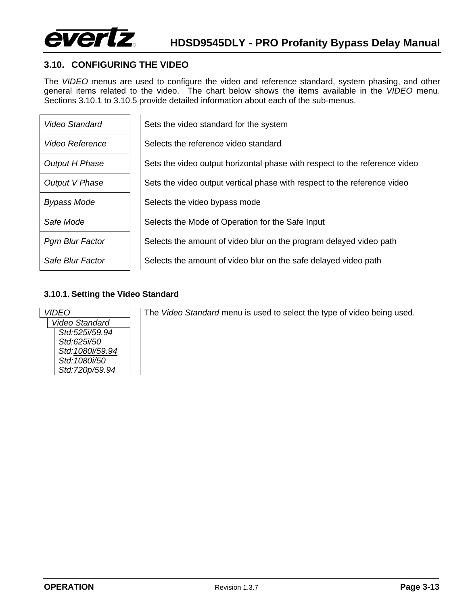

#### <span id="page-44-0"></span>**3.10. CONFIGURING THE VIDEO**

The *VIDEO* menus are used to configure the video and reference standard, system phasing, and other general items related to the video. The chart below shows the items available in the *VIDEO* menu. Sections [3.10.1](#page-46-3) to [3.10.5](#page-46-2) provide detailed information about each of the sub-menus.

| Video Standard     | Sets the video standard for the system                                     |  |  |
|--------------------|----------------------------------------------------------------------------|--|--|
| Video Reference    | Selects the reference video standard                                       |  |  |
| Output H Phase     | Sets the video output horizontal phase with respect to the reference video |  |  |
| Output V Phase     |                                                                            |  |  |
| <b>Bypass Mode</b> | Selects the video bypass mode                                              |  |  |
| Safe Mode          | Selects the Mode of Operation for the Safe Input                           |  |  |
| Pgm Blur Factor    | Selects the amount of video blur on the program delayed video path         |  |  |
| Safe Blur Factor   | Selects the amount of video blur on the safe delayed video path            |  |  |
|                    | Sets the video output vertical phase with respect to the reference video   |  |  |

#### <span id="page-44-1"></span>**3.10.1. Setting the Video Standard**

| <i>VIDEO</i>    |  |  |  |
|-----------------|--|--|--|
| Video Standard  |  |  |  |
| Std:525i/59.94  |  |  |  |
| Std:625i/50     |  |  |  |
| Std:1080i/59.94 |  |  |  |
| Std:1080i/50    |  |  |  |
| Std:720p/59.94  |  |  |  |

The *Video Standard* menu is used to select the type of video being used.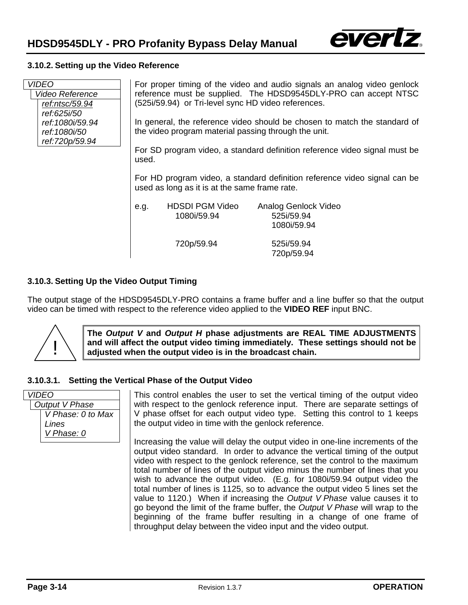

#### <span id="page-45-0"></span>**3.10.2. Setting up the Video Reference**

| <b>VIDEO</b><br>Video Reference                |       |                                                      | For proper timing of the video and audio signals an analog video genlock<br>reference must be supplied. The HDSD9545DLY-PRO can accept NTSC |
|------------------------------------------------|-------|------------------------------------------------------|---------------------------------------------------------------------------------------------------------------------------------------------|
| ref:ntsc/59.94                                 |       | (525i/59.94) or Tri-level sync HD video references.  |                                                                                                                                             |
| ref:625i/50<br>ref:1080i/59.94<br>ref:1080i/50 |       | the video program material passing through the unit. | In general, the reference video should be chosen to match the standard of                                                                   |
| ref:720p/59.94                                 | used. |                                                      | For SD program video, a standard definition reference video signal must be                                                                  |
|                                                |       | used as long as it is at the same frame rate.        | For HD program video, a standard definition reference video signal can be                                                                   |
|                                                | e.g.  | <b>HDSDI PGM Video</b><br>1080i/59.94                | Analog Genlock Video<br>525i/59.94<br>1080i/59.94                                                                                           |
|                                                |       | 720p/59.94                                           | 525i/59.94                                                                                                                                  |

#### <span id="page-45-3"></span><span id="page-45-1"></span>**3.10.3. Setting Up the Video Output Timing**

The output stage of the HDSD9545DLY-PRO contains a frame buffer and a line buffer so that the output video can be timed with respect to the reference video applied to the **VIDEO REF** input BNC.



**The** *Output V* **and** *Output H* **phase adjustments are REAL TIME ADJUSTMENTS and will affect the output video timing immediately. These settings should not be adjusted when the output video is in the broadcast chain.** 

#### **3.10.3.1. Setting the Vertical Phase of the Output Video**

<span id="page-45-2"></span>

| <i>VIDEO</i> |                       |                     |  |  |
|--------------|-----------------------|---------------------|--|--|
|              | <b>Output V Phase</b> |                     |  |  |
|              |                       | V Phase: $0$ to Max |  |  |
|              |                       | Lines               |  |  |
|              |                       | V Phase: 0          |  |  |
|              |                       |                     |  |  |

This control enables the user to set the vertical timing of the output video with respect to the genlock reference input. There are separate settings of V phase offset for each output video type. Setting this control to 1 keeps the output video in time with the genlock reference.

720p/59.94

Increasing the value will delay the output video in one-line increments of the output video standard. In order to advance the vertical timing of the output video with respect to the genlock reference, set the control to the maximum total number of lines of the output video minus the number of lines that you wish to advance the output video. (E.g. for 1080i/59.94 output video the total number of lines is 1125, so to advance the output video 5 lines set the value to 1120.) When if increasing the *Output V Phase* value causes it to go beyond the limit of the frame buffer, the *Output V Phase* will wrap to the beginning of the frame buffer resulting in a change of one frame of throughput delay between the video input and the video output.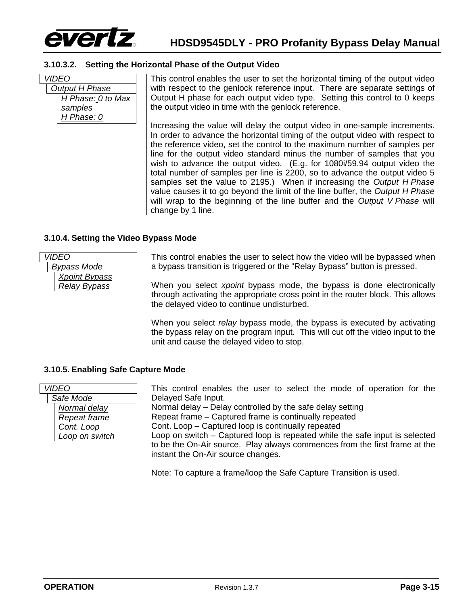

#### <span id="page-46-0"></span>**3.10.3.2. Setting the Horizontal Phase of the Output Video**

| <i>VIDEO</i>      |  |  |
|-------------------|--|--|
| Output H Phase    |  |  |
| H Phase: 0 to Max |  |  |
| samples           |  |  |
| H Phase: 0        |  |  |
|                   |  |  |

 This control enables the user to set the horizontal timing of the output video with respect to the genlock reference input. There are separate settings of Output H phase for each output video type. Setting this control to 0 keeps the output video in time with the genlock reference.

Increasing the value will delay the output video in one-sample increments. In order to advance the horizontal timing of the output video with respect to the reference video, set the control to the maximum number of samples per line for the output video standard minus the number of samples that you wish to advance the output video. (E.g. for 1080i/59.94 output video the total number of samples per line is 2200, so to advance the output video 5 samples set the value to 2195.) When if increasing the *Output H Phase* value causes it to go beyond the limit of the line buffer, the *Output H Phase* will wrap to the beginning of the line buffer and the *Output V Phase* will change by 1 line.

#### <span id="page-46-1"></span>**3.10.4. Setting the Video Bypass Mode**

<span id="page-46-3"></span>

| <i>VIDEO</i> |                      |  |  |
|--------------|----------------------|--|--|
|              | <b>Bypass Mode</b>   |  |  |
|              | <b>Xpoint Bypass</b> |  |  |
|              | <b>Relay Bypass</b>  |  |  |

This control enables the user to select how the video will be bypassed when a bypass transition is triggered or the "Relay Bypass" button is pressed.

When you select *xpoint* bypass mode, the bypass is done electronically through activating the appropriate cross point in the router block. This allows the delayed video to continue undisturbed.

When you select *relay* bypass mode, the bypass is executed by activating the bypass relay on the program input. This will cut off the video input to the unit and cause the delayed video to stop.

#### <span id="page-46-2"></span>**3.10.5. Enabling Safe Capture Mode**

| <b>VIDEO</b>   | This control enables the user to select the mode of operation for the       |
|----------------|-----------------------------------------------------------------------------|
| Safe Mode      | Delayed Safe Input.                                                         |
| Normal delay   | Normal delay – Delay controlled by the safe delay setting                   |
| Repeat frame   | Repeat frame – Captured frame is continually repeated                       |
| Cont. Loop     | Cont. Loop - Captured loop is continually repeated                          |
| Loop on switch | Loop on switch – Captured loop is repeated while the safe input is selected |
|                | to be the On-Air source. Play always commences from the first frame at the  |
|                | instant the On-Air source changes.                                          |
|                |                                                                             |

Note: To capture a frame/loop the Safe Capture Transition is used.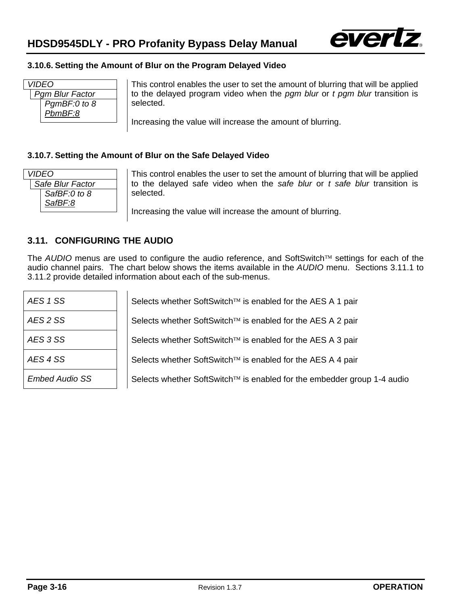

#### <span id="page-47-0"></span>**3.10.6. Setting the Amount of Blur on the Program Delayed Video**

| <i>VIDEO</i> |                 |  |  |
|--------------|-----------------|--|--|
|              | Pgm Blur Factor |  |  |
|              | PgmBF:0 to 8    |  |  |
|              | PbmBF:8         |  |  |
|              |                 |  |  |

 $\lceil$ 

 This control enables the user to set the amount of blurring that will be applied to the delayed program video when the *pgm blur* or *t pgm blur* transition is selected.

Increasing the value will increase the amount of blurring.

#### <span id="page-47-1"></span>**3.10.7. Setting the Amount of Blur on the Safe Delayed Video**

| VIDFO            |              |  |
|------------------|--------------|--|
| Safe Blur Factor |              |  |
|                  | SafBF:0 to 8 |  |
|                  | SafBF:8      |  |
|                  |              |  |

 This control enables the user to set the amount of blurring that will be applied to the delayed safe video when the *safe blur* or *t safe blur* transition is selected.

Increasing the value will increase the amount of blurring.

#### <span id="page-47-2"></span>**3.11. CONFIGURING THE AUDIO**

The *AUDIO* menus are used to configure the audio reference, and SoftSwitch™ settings for each of the audio channel pairs. The chart below shows the items available in the *AUDIO* menu. Sections [3.11.1](#page-48-0) to [3.11.2](#page-48-1) provide detailed information about each of the sub-menus.

| AES 1 SS              | Selects whether SoftSwitch™ is enabled for the AES A 1 pair             |
|-----------------------|-------------------------------------------------------------------------|
| AES 2 SS              | Selects whether SoftSwitch™ is enabled for the AES A 2 pair             |
| AES 3 SS              | Selects whether SoftSwitch™ is enabled for the AES A 3 pair             |
| AES 4 SS              | Selects whether SoftSwitch™ is enabled for the AES A 4 pair             |
| <b>Embed Audio SS</b> | Selects whether SoftSwitch™ is enabled for the embedder group 1-4 audio |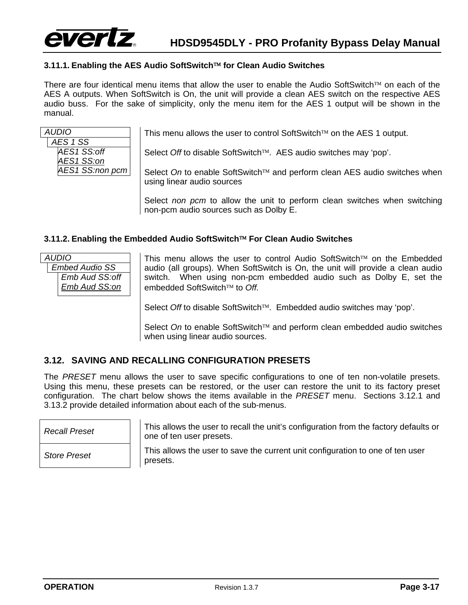

#### <span id="page-48-0"></span>**3.11.1. Enabling the AES Audio SoftSwitch**™ **for Clean Audio Switches**

There are four identical menu items that allow the user to enable the Audio SoftSwitch™ on each of the AES A outputs. When SoftSwitch is On, the unit will provide a clean AES switch on the respective AES audio buss. For the sake of simplicity, only the menu item for the AES 1 output will be shown in the manual.

| AUDIO                                        |  |  |  |
|----------------------------------------------|--|--|--|
| AES 1 SS                                     |  |  |  |
| AES1 SS:off<br>AES1 SS:on<br>AES1 SS:non pcm |  |  |  |
|                                              |  |  |  |
|                                              |  |  |  |
|                                              |  |  |  |

 $\mathbf{I}$ 

This menu allows the user to control SoftSwitch™ on the AES 1 output.

Select *Off* to disable SoftSwitch™. AES audio switches may 'pop'.

Select *On* to enable SoftSwitch™ and perform clean AES audio switches when using linear audio sources

Select *non pcm* to allow the unit to perform clean switches when switching non-pcm audio sources such as Dolby E.

#### <span id="page-48-1"></span>**3.11.2. Enabling the Embedded Audio SoftSwitch**™ **For Clean Audio Switches**

| AUDIO |                       |                |  |
|-------|-----------------------|----------------|--|
|       | <b>Embed Audio SS</b> |                |  |
|       |                       | Emb Aud SS:off |  |
|       |                       | Emb Aud SS:on  |  |
|       |                       |                |  |

This menu allows the user to control Audio SoftSwitch™ on the Embedded audio (all groups). When SoftSwitch is On, the unit will provide a clean audio switch. When using non-pcm embedded audio such as Dolby E, set the embedded SoftSwitch™ to Off.

Select *Off* to disable SoftSwitch™. Embedded audio switches may 'pop'.

Select *On* to enable SoftSwitch™ and perform clean embedded audio switches when using linear audio sources.

#### <span id="page-48-2"></span>**3.12. SAVING AND RECALLING CONFIGURATION PRESETS**

The *PRESET* menu allows the user to save specific configurations to one of ten non-volatile presets. Using this menu, these presets can be restored, or the user can restore the unit to its factory preset configuration. The chart below shows the items available in the *PRESET* menu. Sections [3.12.1](#page-49-0) and [3.13.2](#page-50-1) provide detailed information about each of the sub-menus.

*Recall Preset* This allows the user to recall the unit's configuration from the factory defaults or one of ten user presets.

*Store Preset* | This allows the user to save the current unit configuration to one of ten user presets.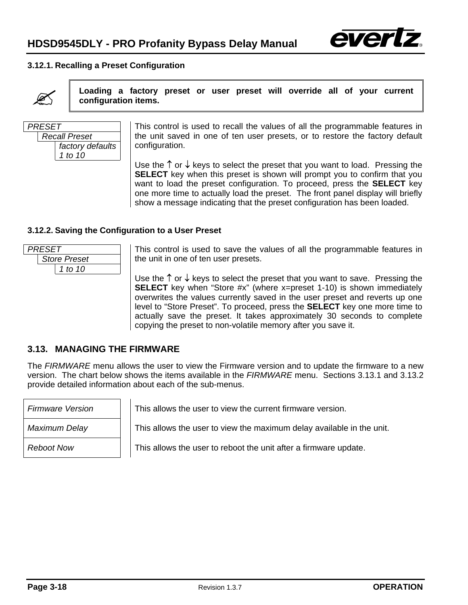

#### <span id="page-49-0"></span>**3.12.1. Recalling a Preset Configuration**



" **Loading a factory preset or user preset will override all of your current configuration items.** 

| PRESET               |                  |  |
|----------------------|------------------|--|
| <b>Recall Preset</b> |                  |  |
|                      | factory defaults |  |
|                      | 1 to 10          |  |

This control is used to recall the values of all the programmable features in the unit saved in one of ten user presets, or to restore the factory default configuration.

Use the  $\uparrow$  or  $\downarrow$  keys to select the preset that you want to load. Pressing the **SELECT** key when this preset is shown will prompt you to confirm that you want to load the preset configuration. To proceed, press the **SELECT** key one more time to actually load the preset. The front panel display will briefly show a message indicating that the preset configuration has been loaded.

#### <span id="page-49-1"></span>**3.12.2. Saving the Configuration to a User Preset**



This control is used to save the values of all the programmable features in the unit in one of ten user presets.

Use the  $\uparrow$  or  $\downarrow$  keys to select the preset that you want to save. Pressing the **SELECT** key when "Store #x" (where x=preset 1-10) is shown immediately overwrites the values currently saved in the user preset and reverts up one level to "Store Preset". To proceed, press the **SELECT** key one more time to actually save the preset. It takes approximately 30 seconds to complete copying the preset to non-volatile memory after you save it.

#### <span id="page-49-2"></span>**3.13. MANAGING THE FIRMWARE**

The *FIRMWARE* menu allows the user to view the Firmware version and to update the firmware to a new version. The chart below shows the items available in the *FIRMWARE* menu. Sections [3.13.1](#page-50-0) and [3.13.2](#page-50-1)  provide detailed information about each of the sub-menus.

| <i><b>Firmware Version</b></i> |  |
|--------------------------------|--|
| Maximum Delay                  |  |
| <b>Reboot Now</b>              |  |

**This allows the user to view the current firmware version.** 

This allows the user to view the maximum delay available in the unit.

This allows the user to reboot the unit after a firmware update.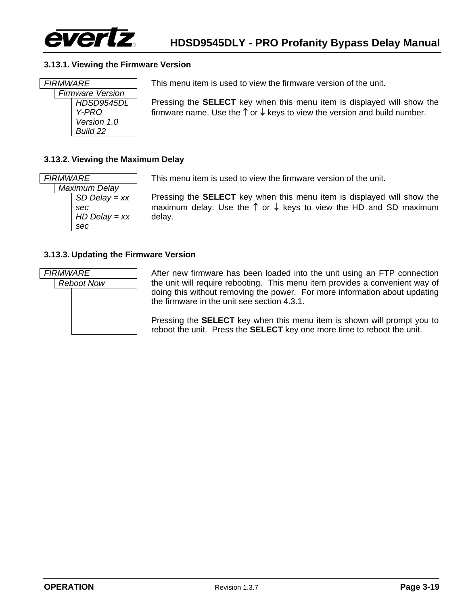

#### <span id="page-50-0"></span>**3.13.1. Viewing the Firmware Version**

| <i>FIRMWARE</i> |  |                         |  |
|-----------------|--|-------------------------|--|
|                 |  | <b>Firmware Version</b> |  |
|                 |  | HDSD9545DL              |  |
|                 |  | Y-PRO                   |  |
|                 |  | Version 1.0             |  |
|                 |  | <b>Build 22</b>         |  |
|                 |  |                         |  |

This menu item is used to view the firmware version of the unit.

Pressing the **SELECT** key when this menu item is displayed will show the firmware name. Use the  $\uparrow$  or  $\downarrow$  keys to view the version and build number.

#### <span id="page-50-1"></span>**3.13.2. Viewing the Maximum Delay**

| <b>FIRMWARE</b> |                   |
|-----------------|-------------------|
|                 | Maximum Delay     |
|                 | $SD$ Delay = $xx$ |
|                 | sec               |
|                 | $HD$ Delay = $xx$ |
|                 | sec               |
|                 |                   |

This menu item is used to view the firmware version of the unit.

Pressing the **SELECT** key when this menu item is displayed will show the maximum delay. Use the ↑ or ↓ keys to view the HD and SD maximum delay.

#### <span id="page-50-2"></span>**3.13.3. Updating the Firmware Version**

|  | <b>FIRMWARE</b>   |  |
|--|-------------------|--|
|  | <b>Reboot Now</b> |  |
|  |                   |  |
|  |                   |  |
|  |                   |  |
|  |                   |  |
|  |                   |  |

After new firmware has been loaded into the unit using an FTP connection the unit will require rebooting. This menu item provides a convenient way of doing this without removing the power. For more information about updating the firmware in the unit see section [4.3.1.](#page-58-0)

Pressing the **SELECT** key when this menu item is shown will prompt you to reboot the unit. Press the **SELECT** key one more time to reboot the unit.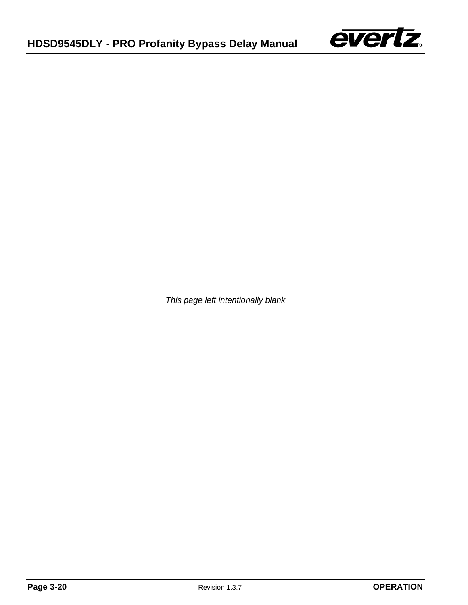

*This page left intentionally blank*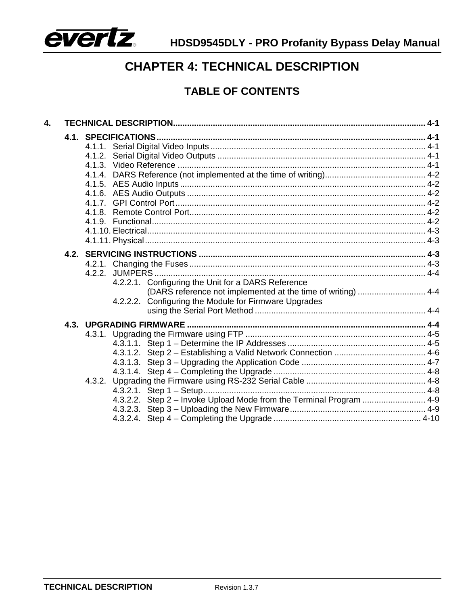

## **CHAPTER 4: TECHNICAL DESCRIPTION**

## **TABLE OF CONTENTS**

| 4. |                                                                                                                                                                             |  |
|----|-----------------------------------------------------------------------------------------------------------------------------------------------------------------------------|--|
|    |                                                                                                                                                                             |  |
|    | 4.2.2.1. Configuring the Unit for a DARS Reference<br>(DARS reference not implemented at the time of writing)  4-4<br>4.2.2.2. Configuring the Module for Firmware Upgrades |  |
|    | 4.3.2.2. Step 2 - Invoke Upload Mode from the Terminal Program  4-9                                                                                                         |  |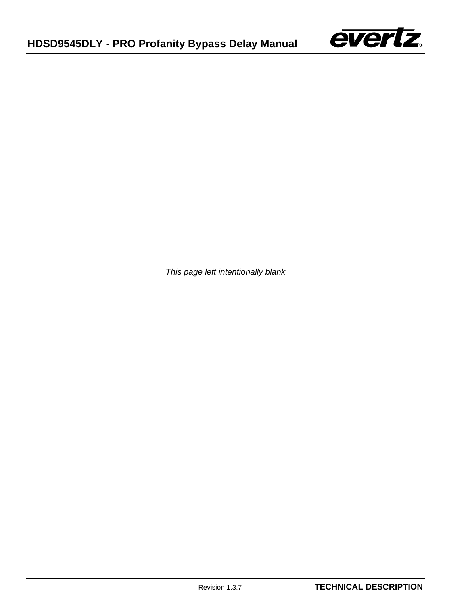

*This page left intentionally blank*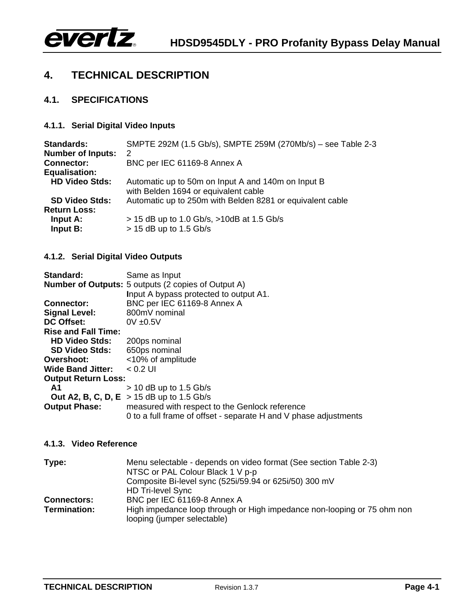

### <span id="page-54-0"></span>**4. TECHNICAL DESCRIPTION**

### <span id="page-54-1"></span>**4.1. SPECIFICATIONS**

#### <span id="page-54-2"></span>**4.1.1. Serial Digital Video Inputs**

| <b>Standards:</b><br><b>Number of Inputs:</b> | SMPTE 292M (1.5 Gb/s), SMPTE 259M (270Mb/s) - see Table 2-3                                |
|-----------------------------------------------|--------------------------------------------------------------------------------------------|
| <b>Connector:</b>                             | BNC per IEC 61169-8 Annex A                                                                |
| <b>Equalisation:</b>                          |                                                                                            |
| <b>HD Video Stds:</b>                         | Automatic up to 50m on Input A and 140m on Input B<br>with Belden 1694 or equivalent cable |
| <b>SD Video Stds:</b>                         | Automatic up to 250m with Belden 8281 or equivalent cable                                  |
| <b>Return Loss:</b>                           |                                                                                            |
| Input A:                                      | > 15 dB up to 1.0 Gb/s, >10dB at 1.5 Gb/s                                                  |
| Input B:                                      | > 15 dB up to 1.5 Gb/s                                                                     |

#### <span id="page-54-3"></span>**4.1.2. Serial Digital Video Outputs**

| Standard:                    | Same as Input                                                    |  |
|------------------------------|------------------------------------------------------------------|--|
|                              | <b>Number of Outputs:</b> 5 outputs (2 copies of Output A)       |  |
|                              | Input A bypass protected to output A1.                           |  |
| <b>Connector:</b>            | BNC per IEC 61169-8 Annex A                                      |  |
| <b>Signal Level:</b>         | 800mV nominal                                                    |  |
| <b>DC Offset:</b>            | $0V \pm 0.5V$                                                    |  |
| <b>Rise and Fall Time:</b>   |                                                                  |  |
| <b>HD Video Stds:</b>        | 200ps nominal                                                    |  |
| <b>SD Video Stds:</b>        | 650ps nominal                                                    |  |
| Overshoot:                   | <10% of amplitude                                                |  |
| Wide Band Jitter: $< 0.2$ UI |                                                                  |  |
| <b>Output Return Loss:</b>   |                                                                  |  |
| A1                           | $>$ 10 dB up to 1.5 Gb/s                                         |  |
|                              | <b>Out A2, B, C, D, E</b> $> 15$ dB up to 1.5 Gb/s               |  |
| <b>Output Phase:</b>         | measured with respect to the Genlock reference                   |  |
|                              | 0 to a full frame of offset - separate H and V phase adjustments |  |

#### <span id="page-54-4"></span>**4.1.3. Video Reference**

| Type:                              | Menu selectable - depends on video format (See section Table 2-3)<br>NTSC or PAL Colour Black 1 V p-p<br>Composite Bi-level sync (525i/59.94 or 625i/50) 300 mV   |
|------------------------------------|-------------------------------------------------------------------------------------------------------------------------------------------------------------------|
| <b>Connectors:</b><br>Termination: | <b>HD Tri-level Sync</b><br>BNC per IEC 61169-8 Annex A<br>High impedance loop through or High impedance non-looping or 75 ohm non<br>looping (jumper selectable) |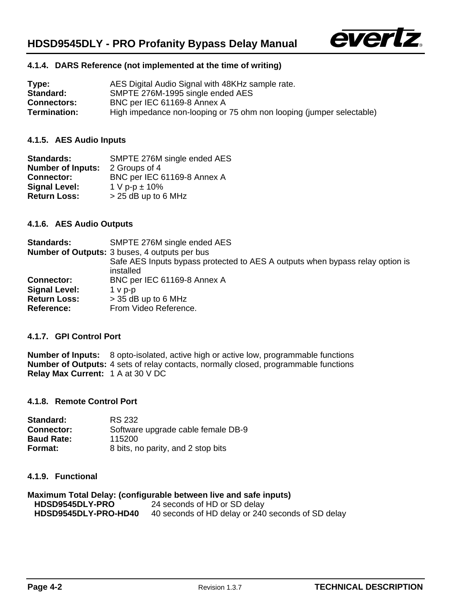

#### <span id="page-55-0"></span>**4.1.4. DARS Reference (not implemented at the time of writing)**

| Type:              | AES Digital Audio Signal with 48KHz sample rate.                     |
|--------------------|----------------------------------------------------------------------|
| Standard:          | SMPTE 276M-1995 single ended AES                                     |
| <b>Connectors:</b> | BNC per IEC 61169-8 Annex A                                          |
| Termination:       | High impedance non-looping or 75 ohm non looping (jumper selectable) |

#### <span id="page-55-1"></span>**4.1.5. AES Audio Inputs**

| <b>Standards:</b>        | SMPTE 276M single ended AES |
|--------------------------|-----------------------------|
| <b>Number of Inputs:</b> | 2 Groups of 4               |
| <b>Connector:</b>        | BNC per IEC 61169-8 Annex A |
| <b>Signal Level:</b>     | 1 V p-p $\pm$ 10%           |
| <b>Return Loss:</b>      | $>$ 25 dB up to 6 MHz       |

#### <span id="page-55-2"></span>**4.1.6. AES Audio Outputs**

| <b>Standards:</b>    | SMPTE 276M single ended AES                                                                |
|----------------------|--------------------------------------------------------------------------------------------|
|                      | <b>Number of Outputs:</b> 3 buses, 4 outputs per bus                                       |
|                      | Safe AES Inputs bypass protected to AES A outputs when bypass relay option is<br>installed |
| <b>Connector:</b>    | BNC per IEC 61169-8 Annex A                                                                |
| <b>Signal Level:</b> | 1 $v$ p-p                                                                                  |
| <b>Return Loss:</b>  | $>$ 35 dB up to 6 MHz                                                                      |
| Reference:           | From Video Reference.                                                                      |

#### <span id="page-55-3"></span>**4.1.7. GPI Control Port**

**Number of Inputs:** 8 opto-isolated, active high or active low, programmable functions **Number of Outputs:** 4 sets of relay contacts, normally closed, programmable functions **Relay Max Current:** 1 A at 30 V DC

#### <span id="page-55-4"></span>**4.1.8. Remote Control Port**

| Standard:         | <b>RS 232</b>                      |
|-------------------|------------------------------------|
| Connector:        | Software upgrade cable female DB-9 |
| <b>Baud Rate:</b> | 115200                             |
| Format:           | 8 bits, no parity, and 2 stop bits |

#### <span id="page-55-5"></span>**4.1.9. Functional**

**Maximum Total Delay: (configurable between live and safe inputs)**<br>**HDSD9545DLY-PRO** 24 seconds of HD or SD delay **HDSD9545DLY-PRO** 24 seconds of HD or SD delay<br>**HDSD9545DLY-PRO-HD40** 40 seconds of HD delay or 240 40 seconds of HD delay or 240 seconds of SD delay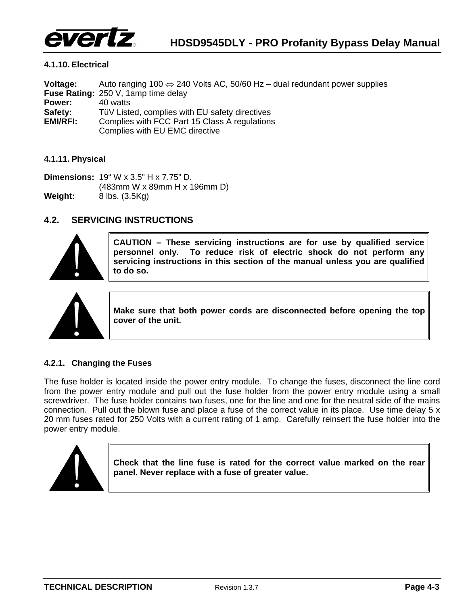

#### <span id="page-56-0"></span>**4.1.10. Electrical**

| Voltage:        | Auto ranging 100 $\Leftrightarrow$ 240 Volts AC, 50/60 Hz – dual redundant power supplies |
|-----------------|-------------------------------------------------------------------------------------------|
|                 | <b>Fuse Rating: 250 V, 1amp time delay</b>                                                |
| Power:          | 40 watts                                                                                  |
| Safety:         | TüV Listed, complies with EU safety directives                                            |
| <b>EMI/RFI:</b> | Complies with FCC Part 15 Class A regulations                                             |
|                 | Complies with EU EMC directive                                                            |

#### <span id="page-56-1"></span>**4.1.11. Physical**

|         | <b>Dimensions:</b> $19^{\circ}$ W x 3.5" H x 7.75" D. |
|---------|-------------------------------------------------------|
|         | $(483$ mm W x 89mm H x 196mm D)                       |
| Weight: | 8 lbs. (3.5Kg)                                        |

#### <span id="page-56-2"></span>**4.2. SERVICING INSTRUCTIONS**



**CAUTION – These servicing instructions are for use by qualified service personnel only. To reduce risk of electric shock do not perform any servicing instructions in this section of the manual unless you are qualified to do so.** 



**Make sure that both power cords are disconnected before opening the top cover of the unit.** 

#### <span id="page-56-3"></span>**4.2.1. Changing the Fuses**

The fuse holder is located inside the power entry module. To change the fuses, disconnect the line cord from the power entry module and pull out the fuse holder from the power entry module using a small screwdriver. The fuse holder contains two fuses, one for the line and one for the neutral side of the mains connection. Pull out the blown fuse and place a fuse of the correct value in its place. Use time delay  $5 \times$ 20 mm fuses rated for 250 Volts with a current rating of 1 amp. Carefully reinsert the fuse holder into the power entry module.



**Check that the line fuse is rated for the correct value marked on the rear panel. Never replace with a fuse of greater value.**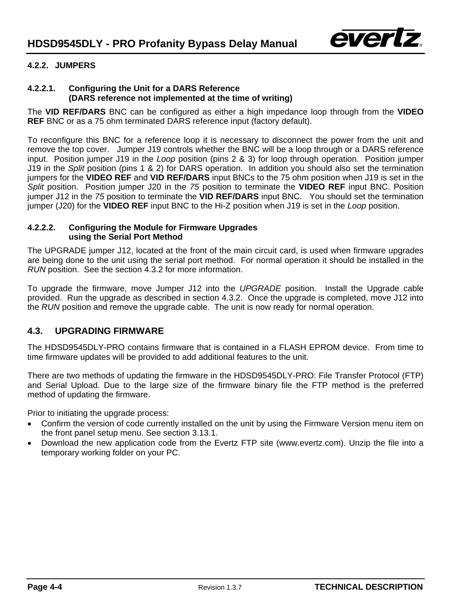

#### <span id="page-57-0"></span>**4.2.2. JUMPERS**

#### <span id="page-57-1"></span>**4.2.2.1. Configuring the Unit for a DARS Reference (DARS reference not implemented at the time of writing)**

The **VID REF/DARS** BNC can be configured as either a high impedance loop through from the **VIDEO REF** BNC or as a 75 ohm terminated DARS reference input (factory default).

To reconfigure this BNC for a reference loop it is necessary to disconnect the power from the unit and remove the top cover. Jumper J19 controls whether the BNC will be a loop through or a DARS reference input. Position jumper J19 in the *Loop* position (pins 2 & 3) for loop through operation. Position jumper J19 in the *Split* position (pins 1 & 2) for DARS operation. In addition you should also set the termination jumpers for the **VIDEO REF** and **VID REF/DARS** input BNCs to the 75 ohm position when J19 is set in the *Split* position. Position jumper J20 in the *75* position to terminate the **VIDEO REF** input BNC. Position jumper J12 in the *75* position to terminate the **VID REF/DARS** input BNC. You should set the termination jumper (J20) for the **VIDEO REF** input BNC to the Hi-Z position when J19 is set in the *Loop* position.

#### <span id="page-57-2"></span>**4.2.2.2. Configuring the Module for Firmware Upgrades using the Serial Port Method**

The UPGRADE jumper J12, located at the front of the main circuit card, is used when firmware upgrades are being done to the unit using the serial port method. For normal operation it should be installed in the *RUN* position. See the section [4.3.2](#page-61-1) for more information.

To upgrade the firmware, move Jumper J12 into the *UPGRADE* position. Install the Upgrade cable provided. Run the upgrade as described in section [4.3.2.](#page-61-1) Once the upgrade is completed, move J12 into the *RUN* position and remove the upgrade cable. The unit is now ready for normal operation.

#### <span id="page-57-3"></span>**4.3. UPGRADING FIRMWARE**

The HDSD9545DLY-PRO contains firmware that is contained in a FLASH EPROM device. From time to time firmware updates will be provided to add additional features to the unit.

There are two methods of updating the firmware in the HDSD9545DLY-PRO: File Transfer Protocol (FTP) and Serial Upload. Due to the large size of the firmware binary file the FTP method is the preferred method of updating the firmware.

Prior to initiating the upgrade process:

- Confirm the version of code currently installed on the unit by using the Firmware Version menu item on the front panel setup menu. See section [3.13.1.](#page-50-0)
- Download the new application code from the Evertz FTP site (www.evertz.com). Unzip the file into a temporary working folder on your PC.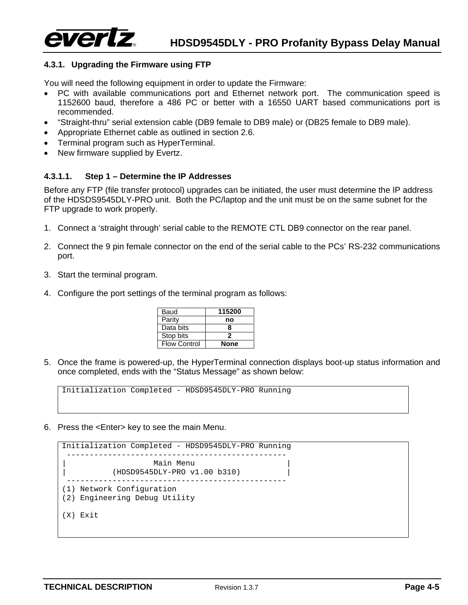

#### <span id="page-58-0"></span>**4.3.1. Upgrading the Firmware using FTP**

You will need the following equipment in order to update the Firmware:

- PC with available communications port and Ethernet network port. The communication speed is 1152600 baud, therefore a 486 PC or better with a 16550 UART based communications port is recommended.
- "Straight-thru" serial extension cable (DB9 female to DB9 male) or (DB25 female to DB9 male).
- Appropriate Ethernet cable as outlined in section [2.6.](#page-26-0)
- Terminal program such as HyperTerminal.
- New firmware supplied by Evertz.

#### <span id="page-58-1"></span>**4.3.1.1. Step 1 – Determine the IP Addresses**

Before any FTP (file transfer protocol) upgrades can be initiated, the user must determine the IP address of the HDSDS9545DLY-PRO unit. Both the PC/laptop and the unit must be on the same subnet for the FTP upgrade to work properly.

- 1. Connect a 'straight through' serial cable to the REMOTE CTL DB9 connector on the rear panel.
- 2. Connect the 9 pin female connector on the end of the serial cable to the PCs' RS-232 communications port.
- 3. Start the terminal program.
- 4. Configure the port settings of the terminal program as follows:

| Baud                | 115200      |
|---------------------|-------------|
| Parity              | no          |
| Data bits           | 8           |
| Stop bits           | 2           |
| <b>Flow Control</b> | <b>None</b> |

5. Once the frame is powered-up, the HyperTerminal connection displays boot-up status information and once completed, ends with the "Status Message" as shown below:

Initialization Completed - HDSD9545DLY-PRO Running

6. Press the <Enter> key to see the main Menu.

```
Initialization Completed - HDSD9545DLY-PRO Running 
 ------------------------------------------------ 
                     Main Menu
           | (HDSD9545DLY-PRO v1.00 b310) | 
       ------------------------------------------------ 
(1) Network Configuration 
(2) Engineering Debug Utility 
(X) Exit
```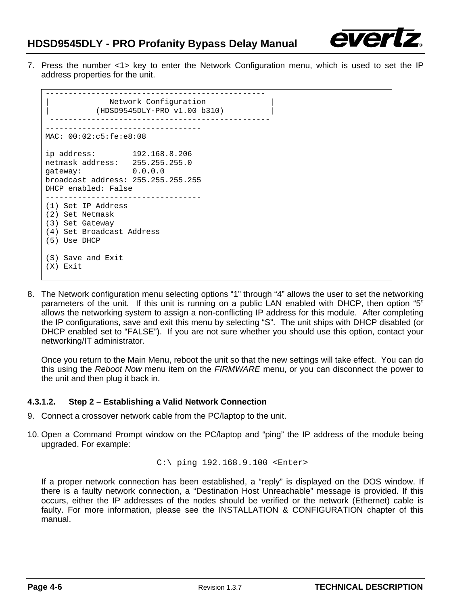7. Press the number <1> key to enter the Network Configuration menu, which is used to set the IP address properties for the unit.

------------------------------------------------ Network Configuration | (HDSD9545DLY-PRO v1.00 b310) | ------------------------------------------------ ---------------------------------- MAC: 00:02:c5:fe:e8:08 ip address: 192.168.8.206 netmask address: 255.255.255.0 gateway: 0.0.0.0 broadcast address: 255.255.255.255 DHCP enabled: False ---------------------------------- (1) Set IP Address (2) Set Netmask (3) Set Gateway (4) Set Broadcast Address (5) Use DHCP (S) Save and Exit (X) Exit

8. The Network configuration menu selecting options "1" through "4" allows the user to set the networking parameters of the unit. If this unit is running on a public LAN enabled with DHCP, then option "5" allows the networking system to assign a non-conflicting IP address for this module. After completing the IP configurations, save and exit this menu by selecting "S". The unit ships with DHCP disabled (or DHCP enabled set to "FALSE"). If you are not sure whether you should use this option, contact your networking/IT administrator.

Once you return to the Main Menu, reboot the unit so that the new settings will take effect. You can do this using the *Reboot Now* menu item on the *FIRMWARE* menu, or you can disconnect the power to the unit and then plug it back in.

#### <span id="page-59-0"></span>**4.3.1.2. Step 2 – Establishing a Valid Network Connection**

- 9. Connect a crossover network cable from the PC/laptop to the unit.
- 10. Open a Command Prompt window on the PC/laptop and "ping" the IP address of the module being upgraded. For example:

C:\ ping 192.168.9.100 <Enter>

If a proper network connection has been established, a "reply" is displayed on the DOS window. If there is a faulty network connection, a "Destination Host Unreachable" message is provided. If this occurs, either the IP addresses of the nodes should be verified or the network (Ethernet) cable is faulty. For more information, please see the INSTALLATION & CONFIGURATION chapter of this manual.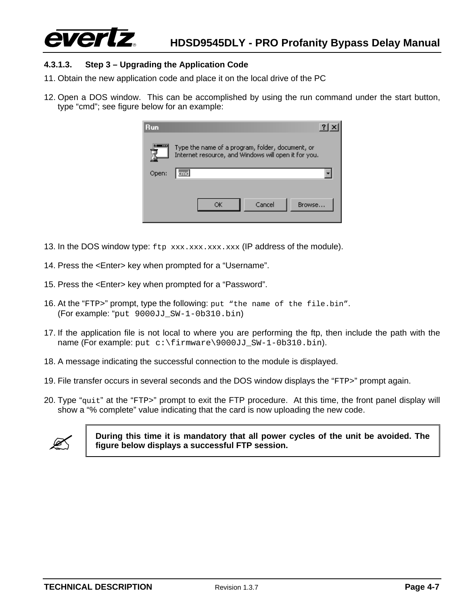

#### <span id="page-60-0"></span>**4.3.1.3. Step 3 – Upgrading the Application Code**

- 11. Obtain the new application code and place it on the local drive of the PC
- 12. Open a DOS window. This can be accomplished by using the run command under the start button, type "cmd"; see figure below for an example:

| <b>Run</b> |                                                                                                          |  |  |  |  |
|------------|----------------------------------------------------------------------------------------------------------|--|--|--|--|
|            | Type the name of a program, folder, document, or<br>Internet resource, and Windows will open it for you. |  |  |  |  |
| Open:      |                                                                                                          |  |  |  |  |
|            | Cancel<br>Browse<br>ОK                                                                                   |  |  |  |  |

- 13. In the DOS window type:  $ftp = xxx, xxx, xxx, xxx$  (IP address of the module).
- 14. Press the <Enter> key when prompted for a "Username".
- 15. Press the <Enter> key when prompted for a "Password".
- 16. At the "FTP>" prompt, type the following: put "the name of the file.bin".  $(For example: "put 9000JJSW-1-0b310,bin)$
- 17. If the application file is not local to where you are performing the ftp, then include the path with the name (For example: put c:\firmware\9000JJ\_SW-1-0b310.bin).
- 18. A message indicating the successful connection to the module is displayed.
- 19. File transfer occurs in several seconds and the DOS window displays the "FTP>" prompt again.
- 20. Type "quit" at the "FTP>" prompt to exit the FTP procedure. At this time, the front panel display will show a "% complete" value indicating that the card is now uploading the new code.



" **During this time it is mandatory that all power cycles of the unit be avoided. The figure below displays a successful FTP session.**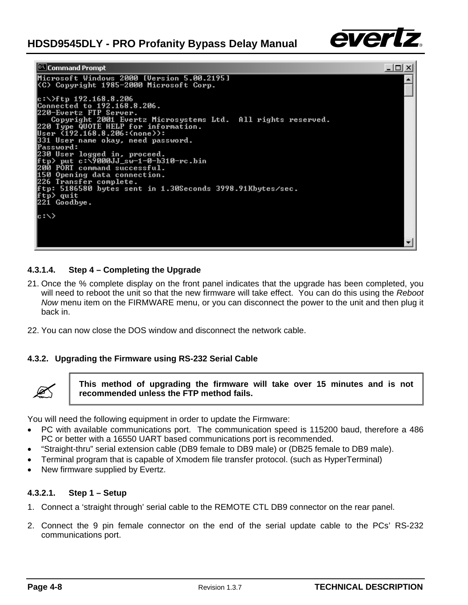

 $|$  $\Box$ | $\times$  $|$ **Command Prompt** Microsoft Windows 2000 [Version 5.00.2195]<br>(C) Copyright 1985-2000 Microsoft Corp.  $\blacktriangle$ c:\>ftp 192.168.8.206<br>
Connected to 192.168.8.206.<br>
220-Evertz FTP Server.<br>
Copyright 2001 Evertz Microsystems Ltd.<br>
220 Type QUOTE HELP for information.<br>
User (192.168.8.206:(none)):<br>
331 User name okay, need password.<br>
P All rights reserved. 230 User logged in, proceed.<br>ftp> put c:\9000JJ\_sw-1-0-b310-rc.bin<br>200 PORI command successful. Z00 PORI command successful.<br>150 Opening data connection.<br>226 Transfer complete.<br>ftp: 5186580 bytes sent in 1.30Seconds 3998.91Kbytes/sec.<br>ftp> quit<br>221 Goodbye. 221 Goodbye. lc:\>

#### <span id="page-61-0"></span>**4.3.1.4. Step 4 – Completing the Upgrade**

- 21. Once the % complete display on the front panel indicates that the upgrade has been completed, you will need to reboot the unit so that the new firmware will take effect. You can do this using the *Reboot Now* menu item on the FIRMWARE menu, or you can disconnect the power to the unit and then plug it back in.
- 22. You can now close the DOS window and disconnect the network cable.

#### <span id="page-61-1"></span>**4.3.2. Upgrading the Firmware using RS-232 Serial Cable**



" **This method of upgrading the firmware will take over 15 minutes and is not recommended unless the FTP method fails.** 

You will need the following equipment in order to update the Firmware:

- PC with available communications port. The communication speed is 115200 baud, therefore a 486 PC or better with a 16550 UART based communications port is recommended.
- "Straight-thru" serial extension cable (DB9 female to DB9 male) or (DB25 female to DB9 male).
- Terminal program that is capable of Xmodem file transfer protocol. (such as HyperTerminal)
- New firmware supplied by Evertz.

#### <span id="page-61-2"></span>**4.3.2.1. Step 1 – Setup**

- 1. Connect a 'straight through' serial cable to the REMOTE CTL DB9 connector on the rear panel.
- 2. Connect the 9 pin female connector on the end of the serial update cable to the PCs' RS-232 communications port.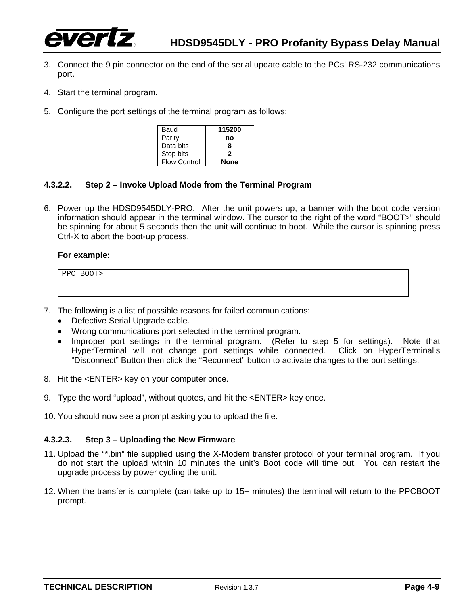

- 3. Connect the 9 pin connector on the end of the serial update cable to the PCs' RS-232 communications port.
- 4. Start the terminal program.
- 5. Configure the port settings of the terminal program as follows:

| Baud                | 115200 |
|---------------------|--------|
| Parity              | no     |
| Data bits           | 8      |
| Stop bits           | 2      |
| <b>Flow Control</b> | None   |

#### <span id="page-62-0"></span>**4.3.2.2. Step 2 – Invoke Upload Mode from the Terminal Program**

6. Power up the HDSD9545DLY-PRO. After the unit powers up, a banner with the boot code version information should appear in the terminal window. The cursor to the right of the word "BOOT>" should be spinning for about 5 seconds then the unit will continue to boot. While the cursor is spinning press Ctrl-X to abort the boot-up process.

#### **For example:**

| PPC BOOT> |  |  |
|-----------|--|--|
|           |  |  |
|           |  |  |
|           |  |  |
|           |  |  |
|           |  |  |

- 7. The following is a list of possible reasons for failed communications:
	- Defective Serial Upgrade cable.
	- Wrong communications port selected in the terminal program.
	- Improper port settings in the terminal program. (Refer to step 5 for settings). Note that HyperTerminal will not change port settings while connected. Click on HyperTerminal's "Disconnect" Button then click the "Reconnect" button to activate changes to the port settings.
- 8. Hit the <ENTER> key on your computer once.
- 9. Type the word "upload", without quotes, and hit the <ENTER> key once.
- 10. You should now see a prompt asking you to upload the file.

#### <span id="page-62-1"></span>**4.3.2.3. Step 3 – Uploading the New Firmware**

- 11. Upload the "\*.bin" file supplied using the X-Modem transfer protocol of your terminal program. If you do not start the upload within 10 minutes the unit's Boot code will time out. You can restart the upgrade process by power cycling the unit.
- 12. When the transfer is complete (can take up to 15+ minutes) the terminal will return to the PPCBOOT prompt.